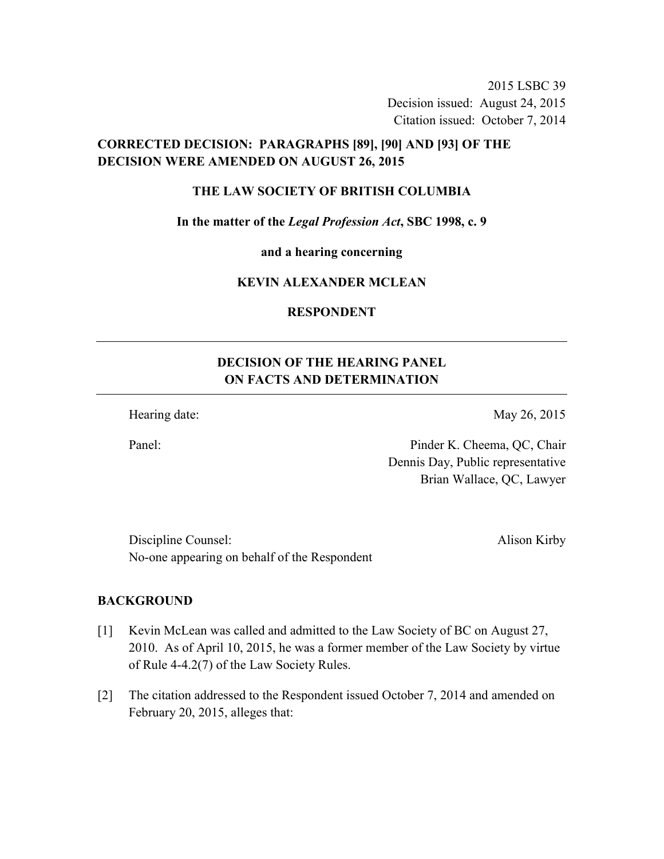2015 LSBC 39 Decision issued: August 24, 2015 Citation issued: October 7, 2014

## **CORRECTED DECISION: PARAGRAPHS [89], [90] AND [93] OF THE DECISION WERE AMENDED ON AUGUST 26, 2015**

#### **THE LAW SOCIETY OF BRITISH COLUMBIA**

**In the matter of the** *Legal Profession Act***, SBC 1998, c. 9** 

**and a hearing concerning** 

### **KEVIN ALEXANDER MCLEAN**

### **RESPONDENT**

# **DECISION OF THE HEARING PANEL ON FACTS AND DETERMINATION**

Hearing date: May 26, 2015

Panel: Pinder K. Cheema, QC, Chair Dennis Day, Public representative Brian Wallace, QC, Lawyer

Discipline Counsel: Alison Kirby No-one appearing on behalf of the Respondent

#### **BACKGROUND**

- [1] Kevin McLean was called and admitted to the Law Society of BC on August 27, 2010. As of April 10, 2015, he was a former member of the Law Society by virtue of Rule 4-4.2(7) of the Law Society Rules.
- [2] The citation addressed to the Respondent issued October 7, 2014 and amended on February 20, 2015, alleges that: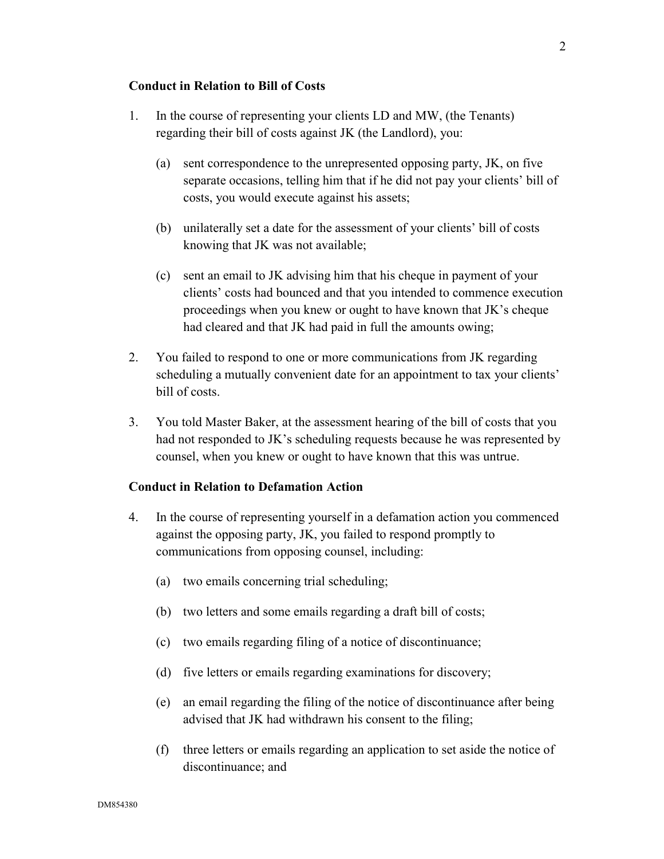#### **Conduct in Relation to Bill of Costs**

- 1. In the course of representing your clients LD and MW, (the Tenants) regarding their bill of costs against JK (the Landlord), you:
	- (a) sent correspondence to the unrepresented opposing party, JK, on five separate occasions, telling him that if he did not pay your clients' bill of costs, you would execute against his assets;
	- (b) unilaterally set a date for the assessment of your clients' bill of costs knowing that JK was not available;
	- (c) sent an email to JK advising him that his cheque in payment of your clients' costs had bounced and that you intended to commence execution proceedings when you knew or ought to have known that JK's cheque had cleared and that JK had paid in full the amounts owing;
- 2. You failed to respond to one or more communications from JK regarding scheduling a mutually convenient date for an appointment to tax your clients' bill of costs.
- 3. You told Master Baker, at the assessment hearing of the bill of costs that you had not responded to JK's scheduling requests because he was represented by counsel, when you knew or ought to have known that this was untrue.

#### **Conduct in Relation to Defamation Action**

- 4. In the course of representing yourself in a defamation action you commenced against the opposing party, JK, you failed to respond promptly to communications from opposing counsel, including:
	- (a) two emails concerning trial scheduling;
	- (b) two letters and some emails regarding a draft bill of costs;
	- (c) two emails regarding filing of a notice of discontinuance;
	- (d) five letters or emails regarding examinations for discovery;
	- (e) an email regarding the filing of the notice of discontinuance after being advised that JK had withdrawn his consent to the filing;
	- (f) three letters or emails regarding an application to set aside the notice of discontinuance; and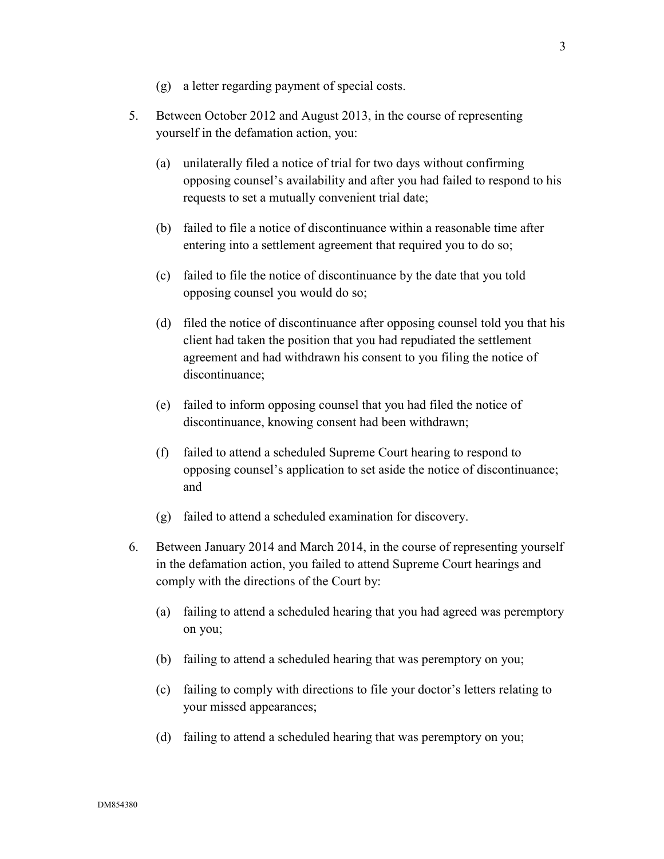- (g) a letter regarding payment of special costs.
- 5. Between October 2012 and August 2013, in the course of representing yourself in the defamation action, you:
	- (a) unilaterally filed a notice of trial for two days without confirming opposing counsel's availability and after you had failed to respond to his requests to set a mutually convenient trial date;
	- (b) failed to file a notice of discontinuance within a reasonable time after entering into a settlement agreement that required you to do so;
	- (c) failed to file the notice of discontinuance by the date that you told opposing counsel you would do so;
	- (d) filed the notice of discontinuance after opposing counsel told you that his client had taken the position that you had repudiated the settlement agreement and had withdrawn his consent to you filing the notice of discontinuance;
	- (e) failed to inform opposing counsel that you had filed the notice of discontinuance, knowing consent had been withdrawn;
	- (f) failed to attend a scheduled Supreme Court hearing to respond to opposing counsel's application to set aside the notice of discontinuance; and
	- (g) failed to attend a scheduled examination for discovery.
- 6. Between January 2014 and March 2014, in the course of representing yourself in the defamation action, you failed to attend Supreme Court hearings and comply with the directions of the Court by:
	- (a) failing to attend a scheduled hearing that you had agreed was peremptory on you;
	- (b) failing to attend a scheduled hearing that was peremptory on you;
	- (c) failing to comply with directions to file your doctor's letters relating to your missed appearances;
	- (d) failing to attend a scheduled hearing that was peremptory on you;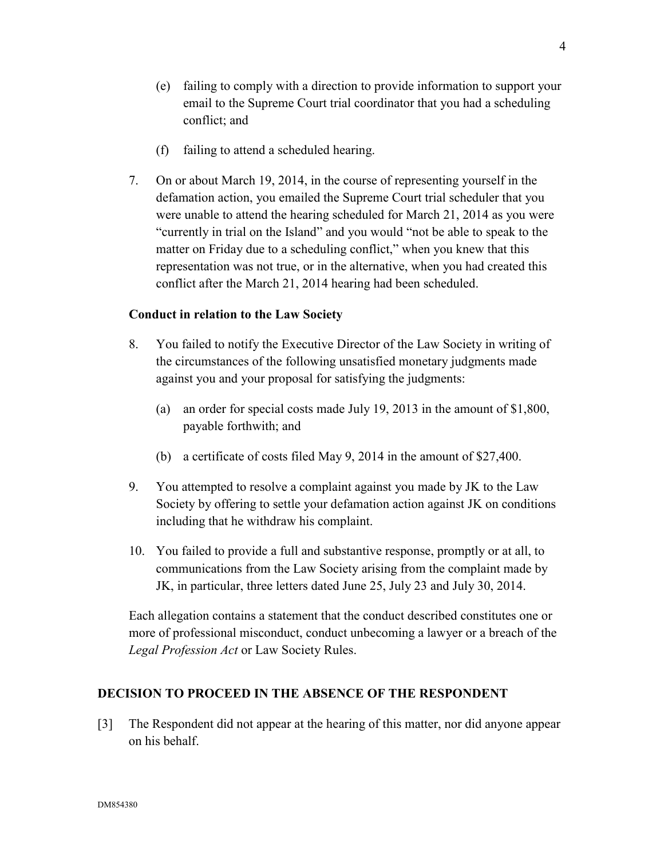4

- (e) failing to comply with a direction to provide information to support your email to the Supreme Court trial coordinator that you had a scheduling conflict; and
- (f) failing to attend a scheduled hearing.
- 7. On or about March 19, 2014, in the course of representing yourself in the defamation action, you emailed the Supreme Court trial scheduler that you were unable to attend the hearing scheduled for March 21, 2014 as you were "currently in trial on the Island" and you would "not be able to speak to the matter on Friday due to a scheduling conflict," when you knew that this representation was not true, or in the alternative, when you had created this conflict after the March 21, 2014 hearing had been scheduled.

## **Conduct in relation to the Law Society**

- 8. You failed to notify the Executive Director of the Law Society in writing of the circumstances of the following unsatisfied monetary judgments made against you and your proposal for satisfying the judgments:
	- (a) an order for special costs made July 19, 2013 in the amount of \$1,800, payable forthwith; and
	- (b) a certificate of costs filed May 9, 2014 in the amount of \$27,400.
- 9. You attempted to resolve a complaint against you made by JK to the Law Society by offering to settle your defamation action against JK on conditions including that he withdraw his complaint.
- 10. You failed to provide a full and substantive response, promptly or at all, to communications from the Law Society arising from the complaint made by JK, in particular, three letters dated June 25, July 23 and July 30, 2014.

Each allegation contains a statement that the conduct described constitutes one or more of professional misconduct, conduct unbecoming a lawyer or a breach of the *Legal Profession Act* or Law Society Rules.

## **DECISION TO PROCEED IN THE ABSENCE OF THE RESPONDENT**

[3] The Respondent did not appear at the hearing of this matter, nor did anyone appear on his behalf.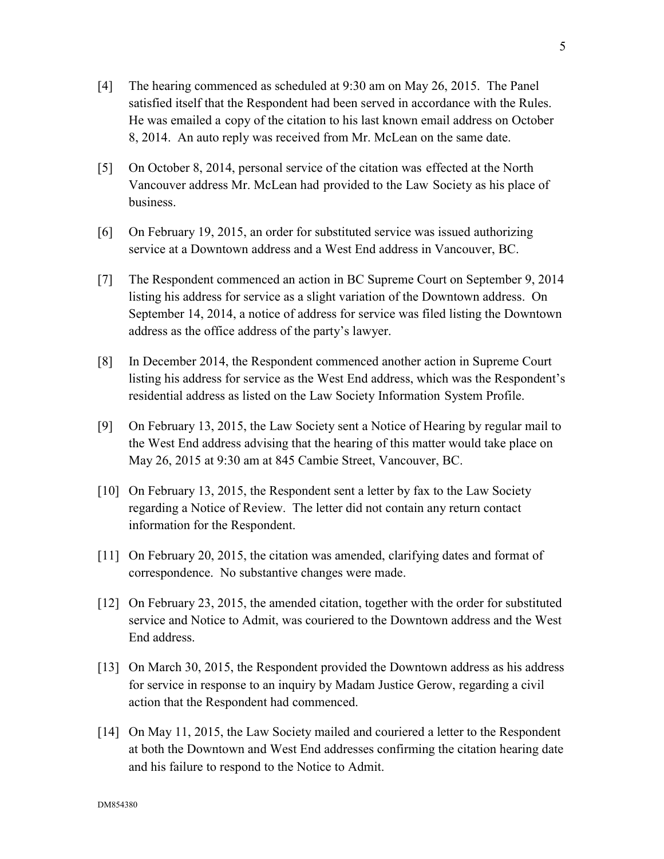- [4] The hearing commenced as scheduled at 9:30 am on May 26, 2015. The Panel satisfied itself that the Respondent had been served in accordance with the Rules. He was emailed a copy of the citation to his last known email address on October 8, 2014. An auto reply was received from Mr. McLean on the same date.
- [5] On October 8, 2014, personal service of the citation was effected at the North Vancouver address Mr. McLean had provided to the Law Society as his place of business.
- [6] On February 19, 2015, an order for substituted service was issued authorizing service at a Downtown address and a West End address in Vancouver, BC.
- [7] The Respondent commenced an action in BC Supreme Court on September 9, 2014 listing his address for service as a slight variation of the Downtown address. On September 14, 2014, a notice of address for service was filed listing the Downtown address as the office address of the party's lawyer.
- [8] In December 2014, the Respondent commenced another action in Supreme Court listing his address for service as the West End address, which was the Respondent's residential address as listed on the Law Society Information System Profile.
- [9] On February 13, 2015, the Law Society sent a Notice of Hearing by regular mail to the West End address advising that the hearing of this matter would take place on May 26, 2015 at 9:30 am at 845 Cambie Street, Vancouver, BC.
- [10] On February 13, 2015, the Respondent sent a letter by fax to the Law Society regarding a Notice of Review. The letter did not contain any return contact information for the Respondent.
- [11] On February 20, 2015, the citation was amended, clarifying dates and format of correspondence. No substantive changes were made.
- [12] On February 23, 2015, the amended citation, together with the order for substituted service and Notice to Admit, was couriered to the Downtown address and the West End address.
- [13] On March 30, 2015, the Respondent provided the Downtown address as his address for service in response to an inquiry by Madam Justice Gerow, regarding a civil action that the Respondent had commenced.
- [14] On May 11, 2015, the Law Society mailed and couriered a letter to the Respondent at both the Downtown and West End addresses confirming the citation hearing date and his failure to respond to the Notice to Admit.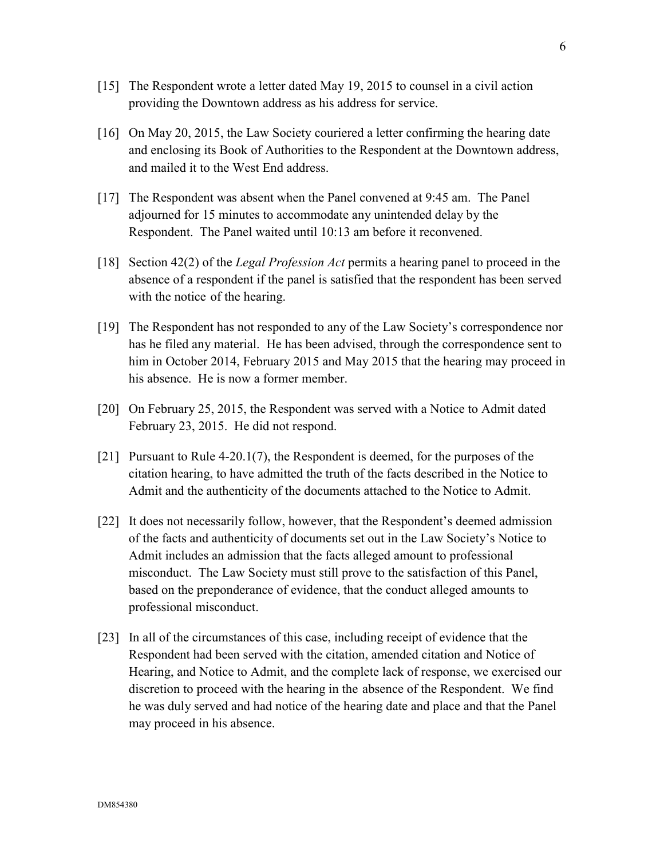- [15] The Respondent wrote a letter dated May 19, 2015 to counsel in a civil action providing the Downtown address as his address for service.
- [16] On May 20, 2015, the Law Society couriered a letter confirming the hearing date and enclosing its Book of Authorities to the Respondent at the Downtown address, and mailed it to the West End address.
- [17] The Respondent was absent when the Panel convened at 9:45 am. The Panel adjourned for 15 minutes to accommodate any unintended delay by the Respondent. The Panel waited until 10:13 am before it reconvened.
- [18] Section 42(2) of the *Legal Profession Act* permits a hearing panel to proceed in the absence of a respondent if the panel is satisfied that the respondent has been served with the notice of the hearing.
- [19] The Respondent has not responded to any of the Law Society's correspondence nor has he filed any material. He has been advised, through the correspondence sent to him in October 2014, February 2015 and May 2015 that the hearing may proceed in his absence. He is now a former member.
- [20] On February 25, 2015, the Respondent was served with a Notice to Admit dated February 23, 2015. He did not respond.
- [21] Pursuant to Rule 4-20.1(7), the Respondent is deemed, for the purposes of the citation hearing, to have admitted the truth of the facts described in the Notice to Admit and the authenticity of the documents attached to the Notice to Admit.
- [22] It does not necessarily follow, however, that the Respondent's deemed admission of the facts and authenticity of documents set out in the Law Society's Notice to Admit includes an admission that the facts alleged amount to professional misconduct. The Law Society must still prove to the satisfaction of this Panel, based on the preponderance of evidence, that the conduct alleged amounts to professional misconduct.
- [23] In all of the circumstances of this case, including receipt of evidence that the Respondent had been served with the citation, amended citation and Notice of Hearing, and Notice to Admit, and the complete lack of response, we exercised our discretion to proceed with the hearing in the absence of the Respondent. We find he was duly served and had notice of the hearing date and place and that the Panel may proceed in his absence.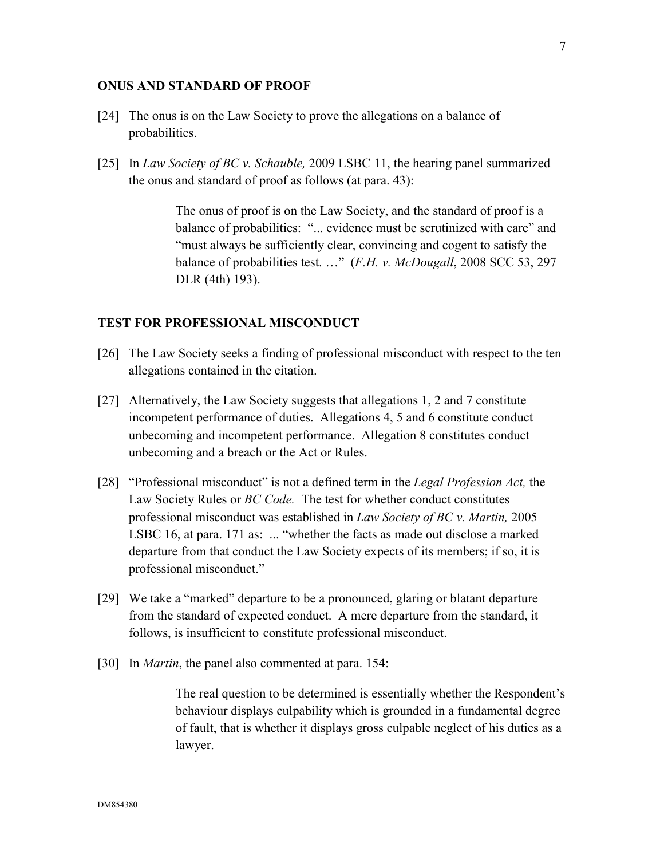#### **ONUS AND STANDARD OF PROOF**

- [24] The onus is on the Law Society to prove the allegations on a balance of probabilities.
- [25] In *Law Society of BC v. Schauble,* 2009 LSBC 11, the hearing panel summarized the onus and standard of proof as follows (at para. 43):

The onus of proof is on the Law Society, and the standard of proof is a balance of probabilities: "... evidence must be scrutinized with care" and "must always be sufficiently clear, convincing and cogent to satisfy the balance of probabilities test. …" (*F.H. v. McDougall*, 2008 SCC 53, 297 DLR (4th) 193).

#### **TEST FOR PROFESSIONAL MISCONDUCT**

- [26] The Law Society seeks a finding of professional misconduct with respect to the ten allegations contained in the citation.
- [27] Alternatively, the Law Society suggests that allegations 1, 2 and 7 constitute incompetent performance of duties. Allegations 4, 5 and 6 constitute conduct unbecoming and incompetent performance. Allegation 8 constitutes conduct unbecoming and a breach or the Act or Rules.
- [28] "Professional misconduct" is not a defined term in the *Legal Profession Act,* the Law Society Rules or *BC Code.* The test for whether conduct constitutes professional misconduct was established in *Law Society of BC v. Martin,* 2005 LSBC 16, at para. 171 as: ... "whether the facts as made out disclose a marked departure from that conduct the Law Society expects of its members; if so, it is professional misconduct."
- [29] We take a "marked" departure to be a pronounced, glaring or blatant departure from the standard of expected conduct. A mere departure from the standard, it follows, is insufficient to constitute professional misconduct.
- [30] In *Martin*, the panel also commented at para. 154:

The real question to be determined is essentially whether the Respondent's behaviour displays culpability which is grounded in a fundamental degree of fault, that is whether it displays gross culpable neglect of his duties as a lawyer.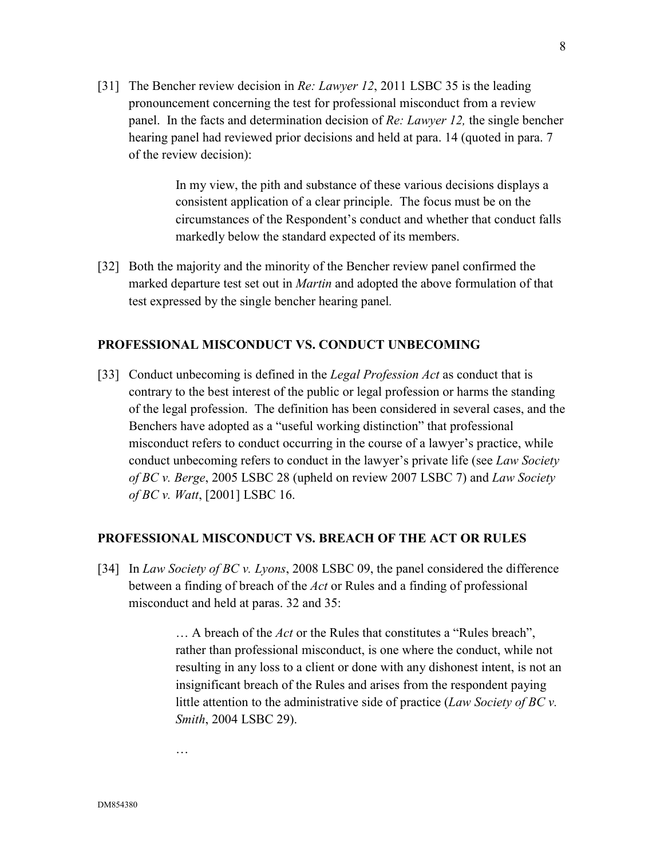[31] The Bencher review decision in *Re: Lawyer 12*, 2011 LSBC 35 is the leading pronouncement concerning the test for professional misconduct from a review panel. In the facts and determination decision of *Re: Lawyer 12,* the single bencher hearing panel had reviewed prior decisions and held at para. 14 (quoted in para. 7 of the review decision):

> In my view, the pith and substance of these various decisions displays a consistent application of a clear principle. The focus must be on the circumstances of the Respondent's conduct and whether that conduct falls markedly below the standard expected of its members.

[32] Both the majority and the minority of the Bencher review panel confirmed the marked departure test set out in *Martin* and adopted the above formulation of that test expressed by the single bencher hearing panel*.*

#### **PROFESSIONAL MISCONDUCT VS. CONDUCT UNBECOMING**

[33] Conduct unbecoming is defined in the *Legal Profession Act* as conduct that is contrary to the best interest of the public or legal profession or harms the standing of the legal profession. The definition has been considered in several cases, and the Benchers have adopted as a "useful working distinction" that professional misconduct refers to conduct occurring in the course of a lawyer's practice, while conduct unbecoming refers to conduct in the lawyer's private life (see *Law Society of BC v. Berge*, 2005 LSBC 28 (upheld on review 2007 LSBC 7) and *Law Society of BC v. Watt*, [2001] LSBC 16.

#### **PROFESSIONAL MISCONDUCT VS. BREACH OF THE ACT OR RULES**

[34] In *Law Society of BC v. Lyons*, 2008 LSBC 09, the panel considered the difference between a finding of breach of the *Act* or Rules and a finding of professional misconduct and held at paras. 32 and 35:

> … A breach of the *Act* or the Rules that constitutes a "Rules breach", rather than professional misconduct, is one where the conduct, while not resulting in any loss to a client or done with any dishonest intent, is not an insignificant breach of the Rules and arises from the respondent paying little attention to the administrative side of practice (*Law Society of BC v. Smith*, 2004 LSBC 29).

…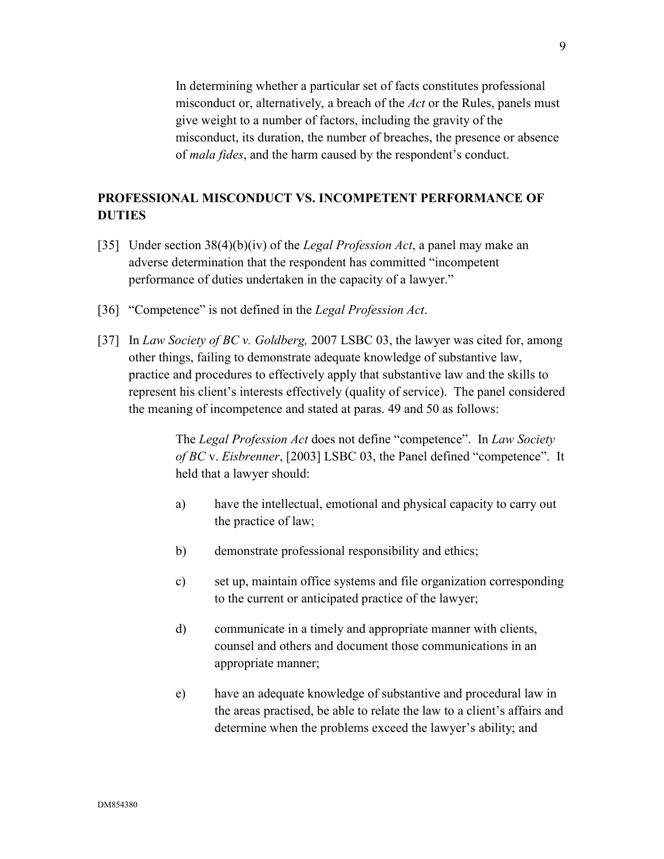In determining whether a particular set of facts constitutes professional misconduct or, alternatively, a breach of the *Act* or the Rules, panels must give weight to a number of factors, including the gravity of the misconduct, its duration, the number of breaches, the presence or absence of *mala fides*, and the harm caused by the respondent's conduct.

# **PROFESSIONAL MISCONDUCT VS. INCOMPETENT PERFORMANCE OF DUTIES**

- [35] Under section 38(4)(b)(iv) of the *Legal Profession Act*, a panel may make an adverse determination that the respondent has committed "incompetent performance of duties undertaken in the capacity of a lawyer."
- [36] "Competence" is not defined in the *Legal Profession Act*.
- [37] In *Law Society of BC v. Goldberg,* 2007 LSBC 03, the lawyer was cited for, among other things, failing to demonstrate adequate knowledge of substantive law, practice and procedures to effectively apply that substantive law and the skills to represent his client's interests effectively (quality of service). The panel considered the meaning of incompetence and stated at paras. 49 and 50 as follows:

The *Legal Profession Act* does not define "competence". In *Law Society of BC* v. *Eisbrenner*, [2003] LSBC 03, the Panel defined "competence". It held that a lawyer should:

- a) have the intellectual, emotional and physical capacity to carry out the practice of law;
- b) demonstrate professional responsibility and ethics;
- c) set up, maintain office systems and file organization corresponding to the current or anticipated practice of the lawyer;
- d) communicate in a timely and appropriate manner with clients, counsel and others and document those communications in an appropriate manner;
- e) have an adequate knowledge of substantive and procedural law in the areas practised, be able to relate the law to a client's affairs and determine when the problems exceed the lawyer's ability; and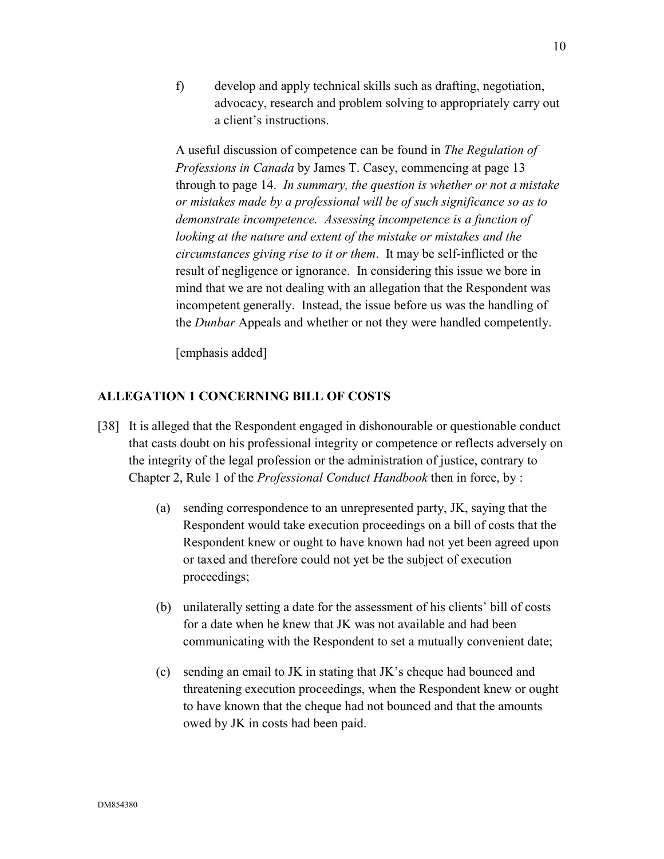f) develop and apply technical skills such as drafting, negotiation, advocacy, research and problem solving to appropriately carry out a client's instructions.

A useful discussion of competence can be found in *The Regulation of Professions in Canada* by James T. Casey, commencing at page 13 through to page 14. *In summary, the question is whether or not a mistake or mistakes made by a professional will be of such significance so as to demonstrate incompetence. Assessing incompetence is a function of looking at the nature and extent of the mistake or mistakes and the circumstances giving rise to it or them*. It may be self-inflicted or the result of negligence or ignorance. In considering this issue we bore in mind that we are not dealing with an allegation that the Respondent was incompetent generally. Instead, the issue before us was the handling of the *Dunbar* Appeals and whether or not they were handled competently.

[emphasis added]

## **ALLEGATION 1 CONCERNING BILL OF COSTS**

- [38] It is alleged that the Respondent engaged in dishonourable or questionable conduct that casts doubt on his professional integrity or competence or reflects adversely on the integrity of the legal profession or the administration of justice, contrary to Chapter 2, Rule 1 of the *Professional Conduct Handbook* then in force, by :
	- (a) sending correspondence to an unrepresented party, JK, saying that the Respondent would take execution proceedings on a bill of costs that the Respondent knew or ought to have known had not yet been agreed upon or taxed and therefore could not yet be the subject of execution proceedings;
	- (b) unilaterally setting a date for the assessment of his clients' bill of costs for a date when he knew that JK was not available and had been communicating with the Respondent to set a mutually convenient date;
	- (c) sending an email to JK in stating that JK's cheque had bounced and threatening execution proceedings, when the Respondent knew or ought to have known that the cheque had not bounced and that the amounts owed by JK in costs had been paid.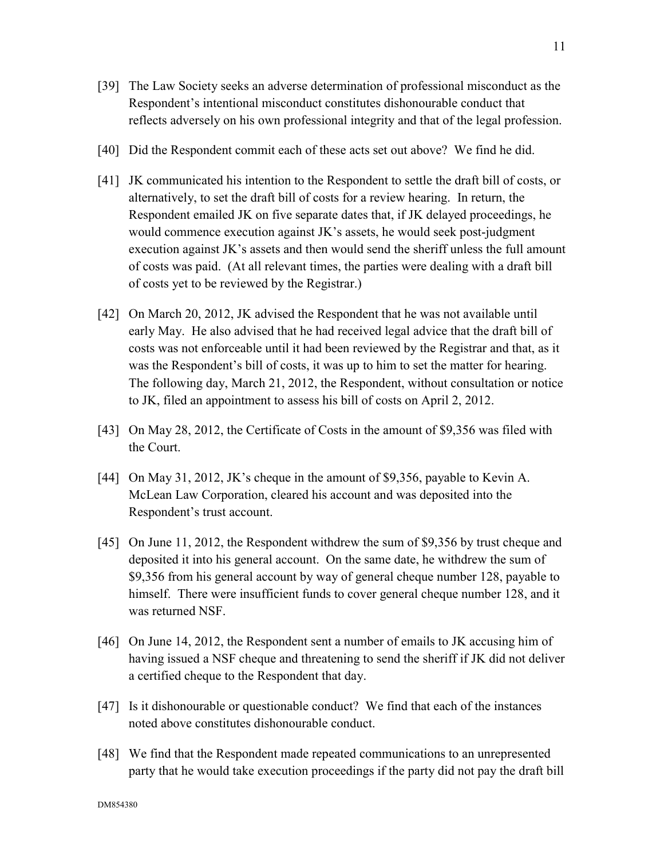- [39] The Law Society seeks an adverse determination of professional misconduct as the Respondent's intentional misconduct constitutes dishonourable conduct that reflects adversely on his own professional integrity and that of the legal profession.
- [40] Did the Respondent commit each of these acts set out above? We find he did.
- [41] JK communicated his intention to the Respondent to settle the draft bill of costs, or alternatively, to set the draft bill of costs for a review hearing. In return, the Respondent emailed JK on five separate dates that, if JK delayed proceedings, he would commence execution against JK's assets, he would seek post-judgment execution against JK's assets and then would send the sheriff unless the full amount of costs was paid. (At all relevant times, the parties were dealing with a draft bill of costs yet to be reviewed by the Registrar.)
- [42] On March 20, 2012, JK advised the Respondent that he was not available until early May. He also advised that he had received legal advice that the draft bill of costs was not enforceable until it had been reviewed by the Registrar and that, as it was the Respondent's bill of costs, it was up to him to set the matter for hearing. The following day, March 21, 2012, the Respondent, without consultation or notice to JK, filed an appointment to assess his bill of costs on April 2, 2012.
- [43] On May 28, 2012, the Certificate of Costs in the amount of \$9,356 was filed with the Court.
- [44] On May 31, 2012, JK's cheque in the amount of \$9,356, payable to Kevin A. McLean Law Corporation, cleared his account and was deposited into the Respondent's trust account.
- [45] On June 11, 2012, the Respondent withdrew the sum of \$9,356 by trust cheque and deposited it into his general account. On the same date, he withdrew the sum of \$9,356 from his general account by way of general cheque number 128, payable to himself. There were insufficient funds to cover general cheque number 128, and it was returned NSF.
- [46] On June 14, 2012, the Respondent sent a number of emails to JK accusing him of having issued a NSF cheque and threatening to send the sheriff if JK did not deliver a certified cheque to the Respondent that day.
- [47] Is it dishonourable or questionable conduct? We find that each of the instances noted above constitutes dishonourable conduct.
- [48] We find that the Respondent made repeated communications to an unrepresented party that he would take execution proceedings if the party did not pay the draft bill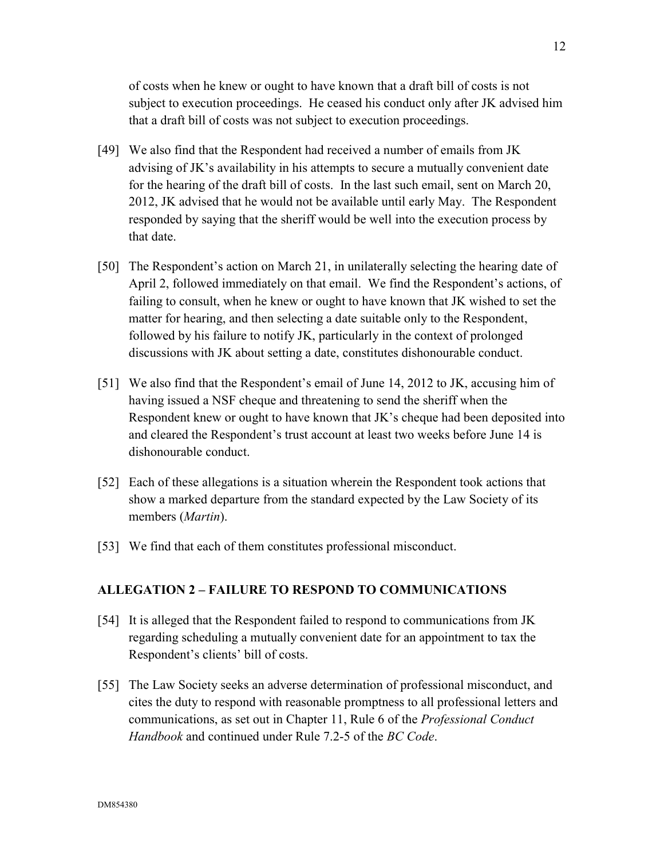of costs when he knew or ought to have known that a draft bill of costs is not subject to execution proceedings. He ceased his conduct only after JK advised him that a draft bill of costs was not subject to execution proceedings.

- [49] We also find that the Respondent had received a number of emails from JK advising of JK's availability in his attempts to secure a mutually convenient date for the hearing of the draft bill of costs. In the last such email, sent on March 20, 2012, JK advised that he would not be available until early May. The Respondent responded by saying that the sheriff would be well into the execution process by that date.
- [50] The Respondent's action on March 21, in unilaterally selecting the hearing date of April 2, followed immediately on that email. We find the Respondent's actions, of failing to consult, when he knew or ought to have known that JK wished to set the matter for hearing, and then selecting a date suitable only to the Respondent, followed by his failure to notify JK, particularly in the context of prolonged discussions with JK about setting a date, constitutes dishonourable conduct.
- [51] We also find that the Respondent's email of June 14, 2012 to JK, accusing him of having issued a NSF cheque and threatening to send the sheriff when the Respondent knew or ought to have known that JK's cheque had been deposited into and cleared the Respondent's trust account at least two weeks before June 14 is dishonourable conduct.
- [52] Each of these allegations is a situation wherein the Respondent took actions that show a marked departure from the standard expected by the Law Society of its members (*Martin*).
- [53] We find that each of them constitutes professional misconduct.

#### **ALLEGATION 2 – FAILURE TO RESPOND TO COMMUNICATIONS**

- [54] It is alleged that the Respondent failed to respond to communications from JK regarding scheduling a mutually convenient date for an appointment to tax the Respondent's clients' bill of costs.
- [55] The Law Society seeks an adverse determination of professional misconduct, and cites the duty to respond with reasonable promptness to all professional letters and communications, as set out in Chapter 11, Rule 6 of the *Professional Conduct Handbook* and continued under Rule 7.2-5 of the *BC Code*.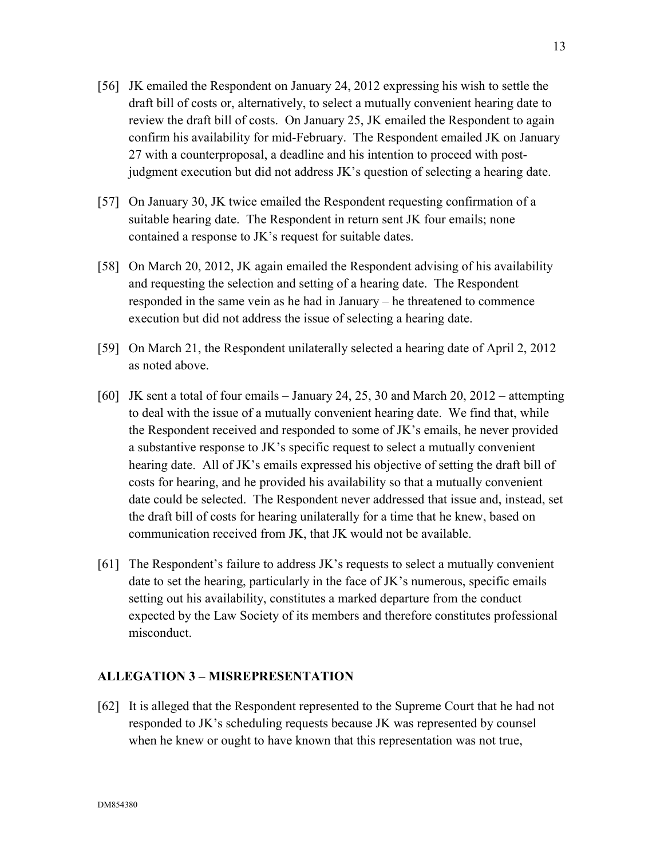- [56] JK emailed the Respondent on January 24, 2012 expressing his wish to settle the draft bill of costs or, alternatively, to select a mutually convenient hearing date to review the draft bill of costs. On January 25, JK emailed the Respondent to again confirm his availability for mid-February. The Respondent emailed JK on January 27 with a counterproposal, a deadline and his intention to proceed with postjudgment execution but did not address JK's question of selecting a hearing date.
- [57] On January 30, JK twice emailed the Respondent requesting confirmation of a suitable hearing date. The Respondent in return sent JK four emails; none contained a response to JK's request for suitable dates.
- [58] On March 20, 2012, JK again emailed the Respondent advising of his availability and requesting the selection and setting of a hearing date. The Respondent responded in the same vein as he had in January – he threatened to commence execution but did not address the issue of selecting a hearing date.
- [59] On March 21, the Respondent unilaterally selected a hearing date of April 2, 2012 as noted above.
- [60] JK sent a total of four emails January 24, 25, 30 and March 20, 2012 attempting to deal with the issue of a mutually convenient hearing date. We find that, while the Respondent received and responded to some of JK's emails, he never provided a substantive response to JK's specific request to select a mutually convenient hearing date. All of JK's emails expressed his objective of setting the draft bill of costs for hearing, and he provided his availability so that a mutually convenient date could be selected. The Respondent never addressed that issue and, instead, set the draft bill of costs for hearing unilaterally for a time that he knew, based on communication received from JK, that JK would not be available.
- [61] The Respondent's failure to address JK's requests to select a mutually convenient date to set the hearing, particularly in the face of JK's numerous, specific emails setting out his availability, constitutes a marked departure from the conduct expected by the Law Society of its members and therefore constitutes professional misconduct.

#### **ALLEGATION 3 – MISREPRESENTATION**

[62] It is alleged that the Respondent represented to the Supreme Court that he had not responded to JK's scheduling requests because JK was represented by counsel when he knew or ought to have known that this representation was not true,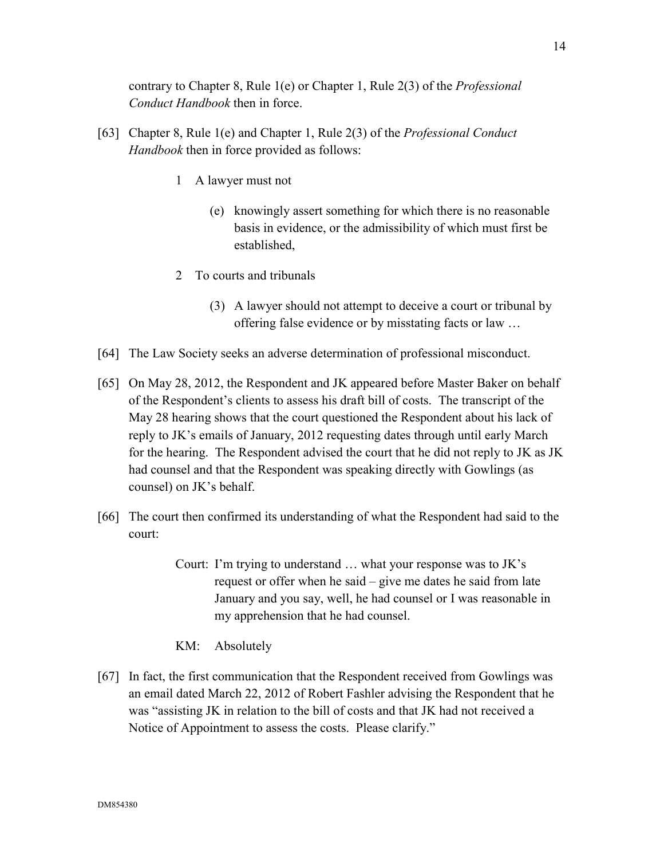contrary to Chapter 8, Rule 1(e) or Chapter 1, Rule 2(3) of the *Professional Conduct Handbook* then in force.

- [63] Chapter 8, Rule 1(e) and Chapter 1, Rule 2(3) of the *Professional Conduct Handbook* then in force provided as follows:
	- 1 A lawyer must not
		- (e) knowingly assert something for which there is no reasonable basis in evidence, or the admissibility of which must first be established,
	- 2 To courts and tribunals
		- (3) A lawyer should not attempt to deceive a court or tribunal by offering false evidence or by misstating facts or law …
- [64] The Law Society seeks an adverse determination of professional misconduct.
- [65] On May 28, 2012, the Respondent and JK appeared before Master Baker on behalf of the Respondent's clients to assess his draft bill of costs. The transcript of the May 28 hearing shows that the court questioned the Respondent about his lack of reply to JK's emails of January, 2012 requesting dates through until early March for the hearing. The Respondent advised the court that he did not reply to JK as JK had counsel and that the Respondent was speaking directly with Gowlings (as counsel) on JK's behalf.
- [66] The court then confirmed its understanding of what the Respondent had said to the court:
	- Court: I'm trying to understand … what your response was to JK's request or offer when he said – give me dates he said from late January and you say, well, he had counsel or I was reasonable in my apprehension that he had counsel.
	- KM: Absolutely
- [67] In fact, the first communication that the Respondent received from Gowlings was an email dated March 22, 2012 of Robert Fashler advising the Respondent that he was "assisting JK in relation to the bill of costs and that JK had not received a Notice of Appointment to assess the costs. Please clarify."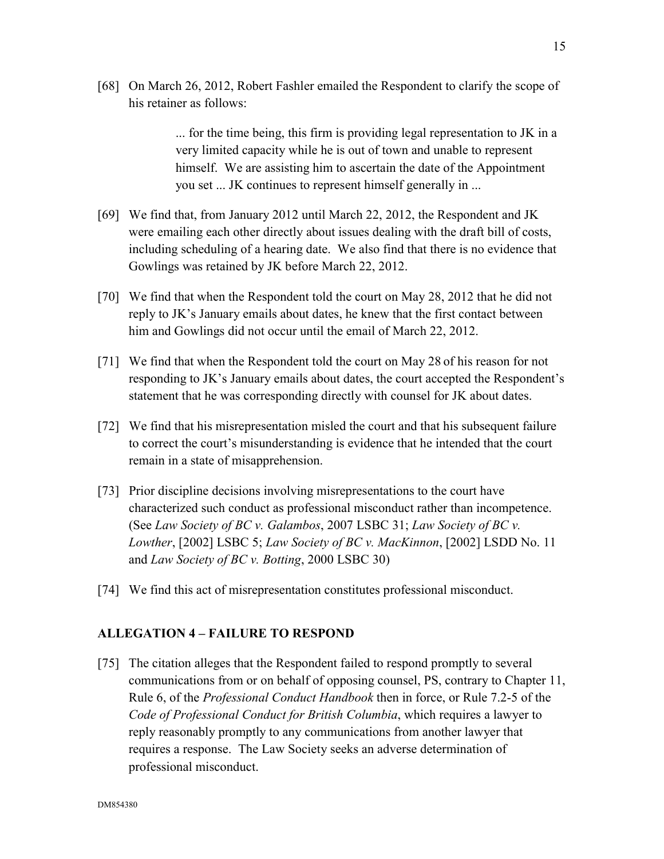[68] On March 26, 2012, Robert Fashler emailed the Respondent to clarify the scope of his retainer as follows:

> ... for the time being, this firm is providing legal representation to JK in a very limited capacity while he is out of town and unable to represent himself. We are assisting him to ascertain the date of the Appointment you set ... JK continues to represent himself generally in ...

- [69] We find that, from January 2012 until March 22, 2012, the Respondent and JK were emailing each other directly about issues dealing with the draft bill of costs, including scheduling of a hearing date. We also find that there is no evidence that Gowlings was retained by JK before March 22, 2012.
- [70] We find that when the Respondent told the court on May 28, 2012 that he did not reply to JK's January emails about dates, he knew that the first contact between him and Gowlings did not occur until the email of March 22, 2012.
- [71] We find that when the Respondent told the court on May 28 of his reason for not responding to JK's January emails about dates, the court accepted the Respondent's statement that he was corresponding directly with counsel for JK about dates.
- [72] We find that his misrepresentation misled the court and that his subsequent failure to correct the court's misunderstanding is evidence that he intended that the court remain in a state of misapprehension.
- [73] Prior discipline decisions involving misrepresentations to the court have characterized such conduct as professional misconduct rather than incompetence. (See *Law Society of BC v. Galambos*, 2007 LSBC 31; *Law Society of BC v. Lowther*, [2002] LSBC 5; *Law Society of BC v. MacKinnon*, [2002] LSDD No. 11 and *Law Society of BC v. Botting*, 2000 LSBC 30)
- [74] We find this act of misrepresentation constitutes professional misconduct.

#### **ALLEGATION 4 – FAILURE TO RESPOND**

[75] The citation alleges that the Respondent failed to respond promptly to several communications from or on behalf of opposing counsel, PS, contrary to Chapter 11, Rule 6, of the *Professional Conduct Handbook* then in force, or Rule 7.2-5 of the *Code of Professional Conduct for British Columbia*, which requires a lawyer to reply reasonably promptly to any communications from another lawyer that requires a response. The Law Society seeks an adverse determination of professional misconduct.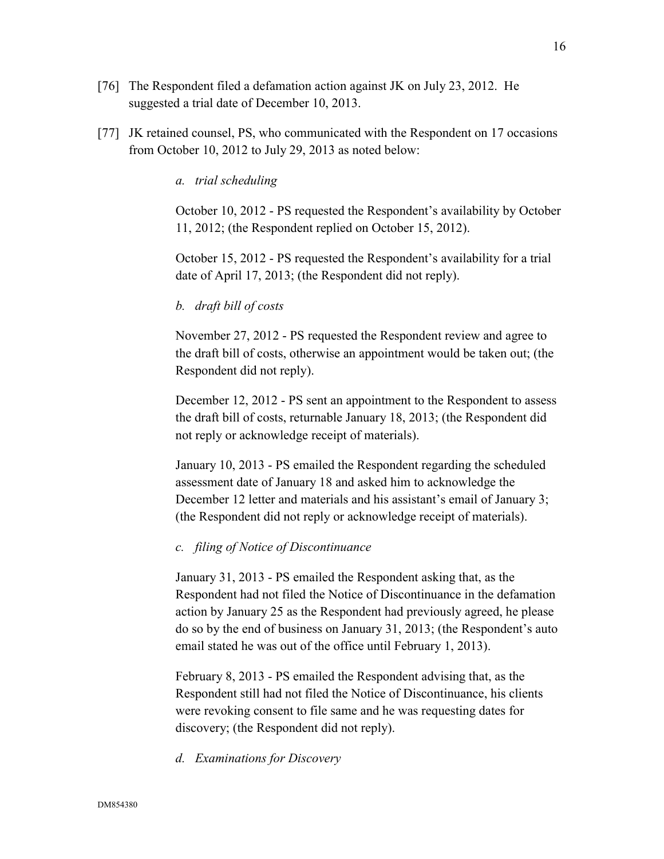- [76] The Respondent filed a defamation action against JK on July 23, 2012. He suggested a trial date of December 10, 2013.
- [77] JK retained counsel, PS, who communicated with the Respondent on 17 occasions from October 10, 2012 to July 29, 2013 as noted below:

*a. trial scheduling* 

October 10, 2012 - PS requested the Respondent's availability by October 11, 2012; (the Respondent replied on October 15, 2012).

October 15, 2012 - PS requested the Respondent's availability for a trial date of April 17, 2013; (the Respondent did not reply).

#### *b. draft bill of costs*

November 27, 2012 - PS requested the Respondent review and agree to the draft bill of costs, otherwise an appointment would be taken out; (the Respondent did not reply).

December 12, 2012 - PS sent an appointment to the Respondent to assess the draft bill of costs, returnable January 18, 2013; (the Respondent did not reply or acknowledge receipt of materials).

January 10, 2013 - PS emailed the Respondent regarding the scheduled assessment date of January 18 and asked him to acknowledge the December 12 letter and materials and his assistant's email of January 3; (the Respondent did not reply or acknowledge receipt of materials).

#### *c. filing of Notice of Discontinuance*

January 31, 2013 - PS emailed the Respondent asking that, as the Respondent had not filed the Notice of Discontinuance in the defamation action by January 25 as the Respondent had previously agreed, he please do so by the end of business on January 31, 2013; (the Respondent's auto email stated he was out of the office until February 1, 2013).

February 8, 2013 - PS emailed the Respondent advising that, as the Respondent still had not filed the Notice of Discontinuance, his clients were revoking consent to file same and he was requesting dates for discovery; (the Respondent did not reply).

*d. Examinations for Discovery*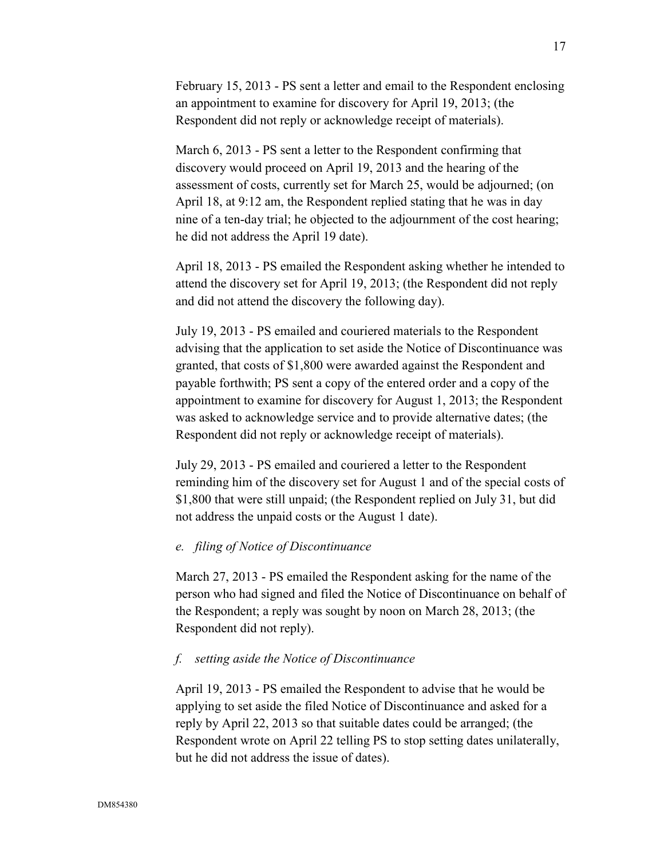February 15, 2013 - PS sent a letter and email to the Respondent enclosing an appointment to examine for discovery for April 19, 2013; (the Respondent did not reply or acknowledge receipt of materials).

March 6, 2013 - PS sent a letter to the Respondent confirming that discovery would proceed on April 19, 2013 and the hearing of the assessment of costs, currently set for March 25, would be adjourned; (on April 18, at 9:12 am, the Respondent replied stating that he was in day nine of a ten-day trial; he objected to the adjournment of the cost hearing; he did not address the April 19 date).

April 18, 2013 - PS emailed the Respondent asking whether he intended to attend the discovery set for April 19, 2013; (the Respondent did not reply and did not attend the discovery the following day).

July 19, 2013 - PS emailed and couriered materials to the Respondent advising that the application to set aside the Notice of Discontinuance was granted, that costs of \$1,800 were awarded against the Respondent and payable forthwith; PS sent a copy of the entered order and a copy of the appointment to examine for discovery for August 1, 2013; the Respondent was asked to acknowledge service and to provide alternative dates; (the Respondent did not reply or acknowledge receipt of materials).

July 29, 2013 - PS emailed and couriered a letter to the Respondent reminding him of the discovery set for August 1 and of the special costs of \$1,800 that were still unpaid; (the Respondent replied on July 31, but did not address the unpaid costs or the August 1 date).

#### *e. filing of Notice of Discontinuance*

March 27, 2013 - PS emailed the Respondent asking for the name of the person who had signed and filed the Notice of Discontinuance on behalf of the Respondent; a reply was sought by noon on March 28, 2013; (the Respondent did not reply).

#### *f. setting aside the Notice of Discontinuance*

April 19, 2013 - PS emailed the Respondent to advise that he would be applying to set aside the filed Notice of Discontinuance and asked for a reply by April 22, 2013 so that suitable dates could be arranged; (the Respondent wrote on April 22 telling PS to stop setting dates unilaterally, but he did not address the issue of dates).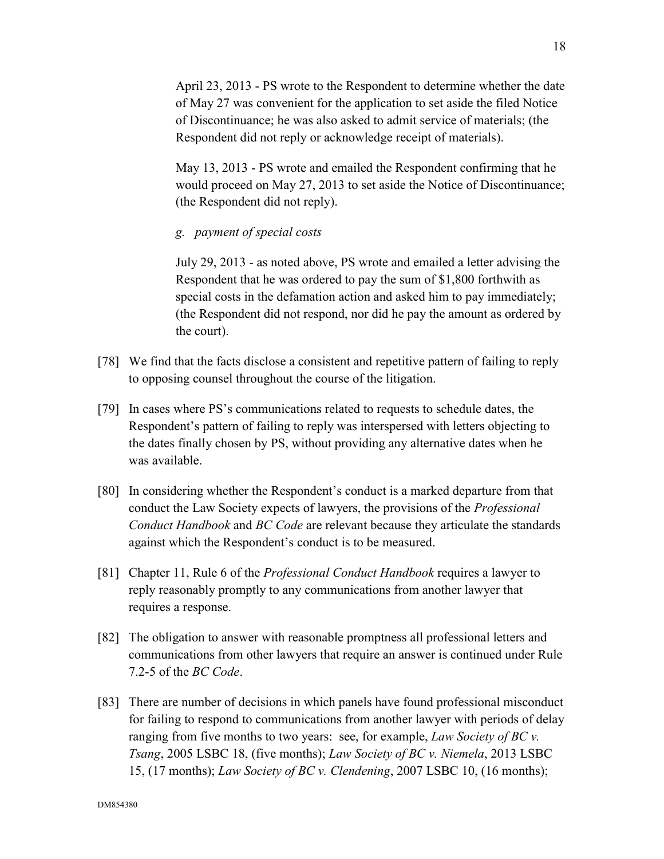April 23, 2013 - PS wrote to the Respondent to determine whether the date of May 27 was convenient for the application to set aside the filed Notice of Discontinuance; he was also asked to admit service of materials; (the Respondent did not reply or acknowledge receipt of materials).

May 13, 2013 - PS wrote and emailed the Respondent confirming that he would proceed on May 27, 2013 to set aside the Notice of Discontinuance; (the Respondent did not reply).

## *g. payment of special costs*

July 29, 2013 - as noted above, PS wrote and emailed a letter advising the Respondent that he was ordered to pay the sum of \$1,800 forthwith as special costs in the defamation action and asked him to pay immediately; (the Respondent did not respond, nor did he pay the amount as ordered by the court).

- [78] We find that the facts disclose a consistent and repetitive pattern of failing to reply to opposing counsel throughout the course of the litigation.
- [79] In cases where PS's communications related to requests to schedule dates, the Respondent's pattern of failing to reply was interspersed with letters objecting to the dates finally chosen by PS, without providing any alternative dates when he was available.
- [80] In considering whether the Respondent's conduct is a marked departure from that conduct the Law Society expects of lawyers, the provisions of the *Professional Conduct Handbook* and *BC Code* are relevant because they articulate the standards against which the Respondent's conduct is to be measured.
- [81] Chapter 11, Rule 6 of the *Professional Conduct Handbook* requires a lawyer to reply reasonably promptly to any communications from another lawyer that requires a response.
- [82] The obligation to answer with reasonable promptness all professional letters and communications from other lawyers that require an answer is continued under Rule 7.2-5 of the *BC Code*.
- [83] There are number of decisions in which panels have found professional misconduct for failing to respond to communications from another lawyer with periods of delay ranging from five months to two years: see, for example, *Law Society of BC v. Tsang*, 2005 LSBC 18, (five months); *Law Society of BC v. Niemela*, 2013 LSBC 15, (17 months); *Law Society of BC v. Clendening*, 2007 LSBC 10, (16 months);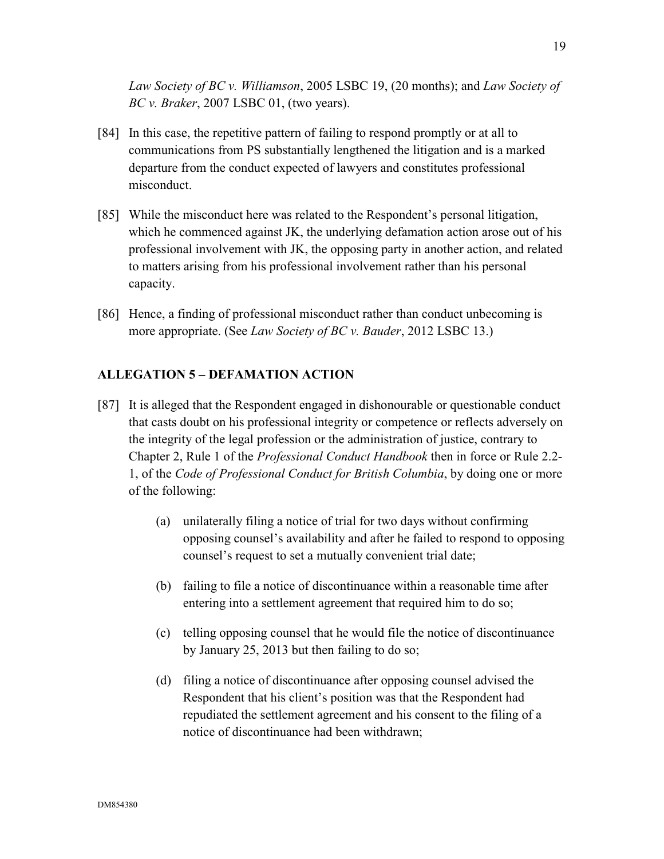*Law Society of BC v. Williamson*, 2005 LSBC 19, (20 months); and *Law Society of BC v. Braker*, 2007 LSBC 01, (two years).

- [84] In this case, the repetitive pattern of failing to respond promptly or at all to communications from PS substantially lengthened the litigation and is a marked departure from the conduct expected of lawyers and constitutes professional misconduct.
- [85] While the misconduct here was related to the Respondent's personal litigation, which he commenced against JK, the underlying defamation action arose out of his professional involvement with JK, the opposing party in another action, and related to matters arising from his professional involvement rather than his personal capacity.
- [86] Hence, a finding of professional misconduct rather than conduct unbecoming is more appropriate. (See *Law Society of BC v. Bauder*, 2012 LSBC 13.)

## **ALLEGATION 5 – DEFAMATION ACTION**

- [87] It is alleged that the Respondent engaged in dishonourable or questionable conduct that casts doubt on his professional integrity or competence or reflects adversely on the integrity of the legal profession or the administration of justice, contrary to Chapter 2, Rule 1 of the *Professional Conduct Handbook* then in force or Rule 2.2- 1, of the *Code of Professional Conduct for British Columbia*, by doing one or more of the following:
	- (a) unilaterally filing a notice of trial for two days without confirming opposing counsel's availability and after he failed to respond to opposing counsel's request to set a mutually convenient trial date;
	- (b) failing to file a notice of discontinuance within a reasonable time after entering into a settlement agreement that required him to do so;
	- (c) telling opposing counsel that he would file the notice of discontinuance by January 25, 2013 but then failing to do so;
	- (d) filing a notice of discontinuance after opposing counsel advised the Respondent that his client's position was that the Respondent had repudiated the settlement agreement and his consent to the filing of a notice of discontinuance had been withdrawn;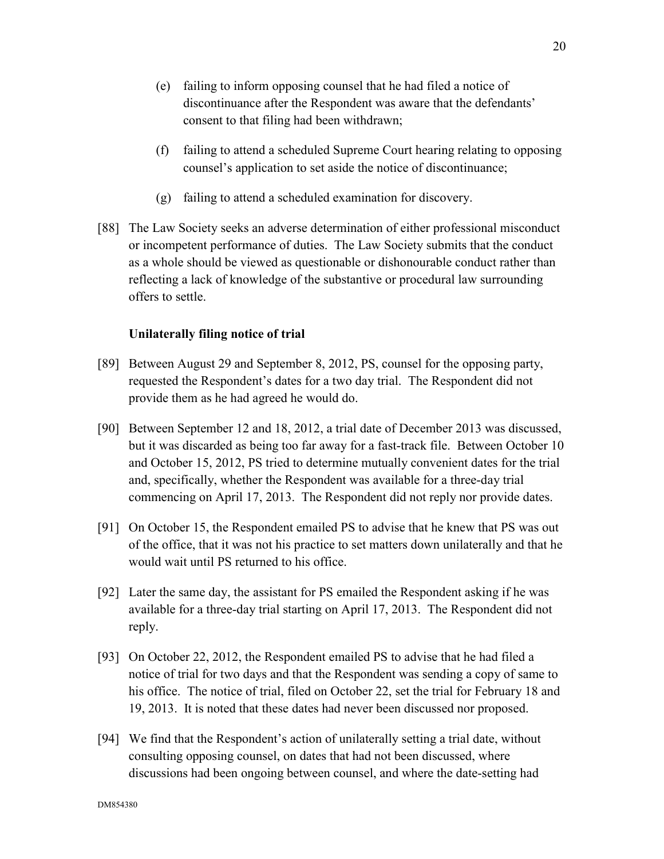- (e) failing to inform opposing counsel that he had filed a notice of discontinuance after the Respondent was aware that the defendants' consent to that filing had been withdrawn;
- (f) failing to attend a scheduled Supreme Court hearing relating to opposing counsel's application to set aside the notice of discontinuance;
- (g) failing to attend a scheduled examination for discovery.
- [88] The Law Society seeks an adverse determination of either professional misconduct or incompetent performance of duties. The Law Society submits that the conduct as a whole should be viewed as questionable or dishonourable conduct rather than reflecting a lack of knowledge of the substantive or procedural law surrounding offers to settle.

## **Unilaterally filing notice of trial**

- [89] Between August 29 and September 8, 2012, PS, counsel for the opposing party, requested the Respondent's dates for a two day trial. The Respondent did not provide them as he had agreed he would do.
- [90] Between September 12 and 18, 2012, a trial date of December 2013 was discussed, but it was discarded as being too far away for a fast-track file. Between October 10 and October 15, 2012, PS tried to determine mutually convenient dates for the trial and, specifically, whether the Respondent was available for a three-day trial commencing on April 17, 2013. The Respondent did not reply nor provide dates.
- [91] On October 15, the Respondent emailed PS to advise that he knew that PS was out of the office, that it was not his practice to set matters down unilaterally and that he would wait until PS returned to his office.
- [92] Later the same day, the assistant for PS emailed the Respondent asking if he was available for a three-day trial starting on April 17, 2013. The Respondent did not reply.
- [93] On October 22, 2012, the Respondent emailed PS to advise that he had filed a notice of trial for two days and that the Respondent was sending a copy of same to his office. The notice of trial, filed on October 22, set the trial for February 18 and 19, 2013. It is noted that these dates had never been discussed nor proposed.
- [94] We find that the Respondent's action of unilaterally setting a trial date, without consulting opposing counsel, on dates that had not been discussed, where discussions had been ongoing between counsel, and where the date-setting had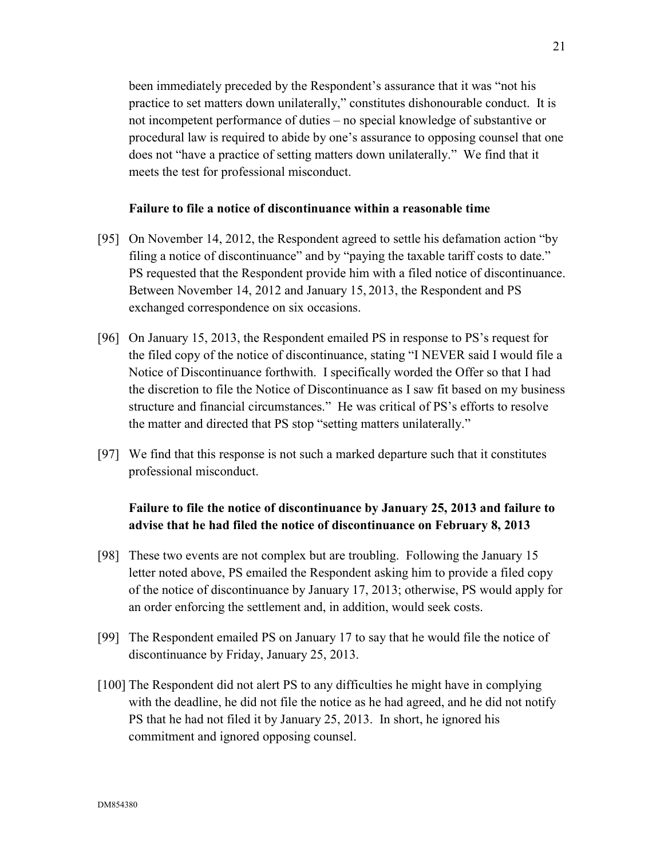been immediately preceded by the Respondent's assurance that it was "not his practice to set matters down unilaterally," constitutes dishonourable conduct. It is not incompetent performance of duties – no special knowledge of substantive or procedural law is required to abide by one's assurance to opposing counsel that one does not "have a practice of setting matters down unilaterally." We find that it meets the test for professional misconduct.

## **Failure to file a notice of discontinuance within a reasonable time**

- [95] On November 14, 2012, the Respondent agreed to settle his defamation action "by filing a notice of discontinuance" and by "paying the taxable tariff costs to date." PS requested that the Respondent provide him with a filed notice of discontinuance. Between November 14, 2012 and January 15, 2013, the Respondent and PS exchanged correspondence on six occasions.
- [96] On January 15, 2013, the Respondent emailed PS in response to PS's request for the filed copy of the notice of discontinuance, stating "I NEVER said I would file a Notice of Discontinuance forthwith. I specifically worded the Offer so that I had the discretion to file the Notice of Discontinuance as I saw fit based on my business structure and financial circumstances." He was critical of PS's efforts to resolve the matter and directed that PS stop "setting matters unilaterally."
- [97] We find that this response is not such a marked departure such that it constitutes professional misconduct.

## **Failure to file the notice of discontinuance by January 25, 2013 and failure to advise that he had filed the notice of discontinuance on February 8, 2013**

- [98] These two events are not complex but are troubling. Following the January 15 letter noted above, PS emailed the Respondent asking him to provide a filed copy of the notice of discontinuance by January 17, 2013; otherwise, PS would apply for an order enforcing the settlement and, in addition, would seek costs.
- [99] The Respondent emailed PS on January 17 to say that he would file the notice of discontinuance by Friday, January 25, 2013.
- [100] The Respondent did not alert PS to any difficulties he might have in complying with the deadline, he did not file the notice as he had agreed, and he did not notify PS that he had not filed it by January 25, 2013. In short, he ignored his commitment and ignored opposing counsel.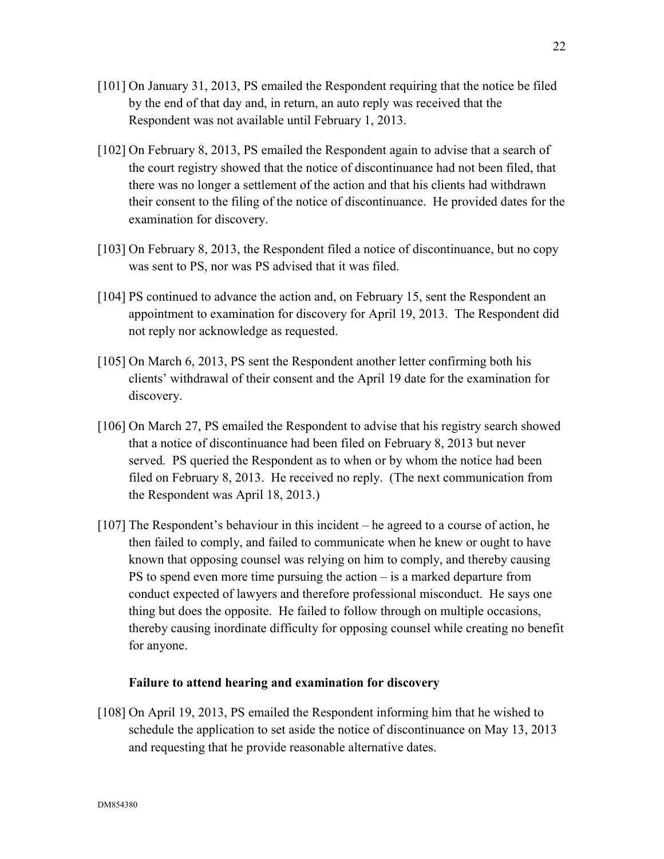- [101] On January 31, 2013, PS emailed the Respondent requiring that the notice be filed by the end of that day and, in return, an auto reply was received that the Respondent was not available until February 1, 2013.
- [102] On February 8, 2013, PS emailed the Respondent again to advise that a search of the court registry showed that the notice of discontinuance had not been filed, that there was no longer a settlement of the action and that his clients had withdrawn their consent to the filing of the notice of discontinuance. He provided dates for the examination for discovery.
- [103] On February 8, 2013, the Respondent filed a notice of discontinuance, but no copy was sent to PS, nor was PS advised that it was filed.
- [104] PS continued to advance the action and, on February 15, sent the Respondent an appointment to examination for discovery for April 19, 2013. The Respondent did not reply nor acknowledge as requested.
- [105] On March 6, 2013, PS sent the Respondent another letter confirming both his clients' withdrawal of their consent and the April 19 date for the examination for discovery.
- [106] On March 27, PS emailed the Respondent to advise that his registry search showed that a notice of discontinuance had been filed on February 8, 2013 but never served. PS queried the Respondent as to when or by whom the notice had been filed on February 8, 2013. He received no reply. (The next communication from the Respondent was April 18, 2013.)
- [107] The Respondent's behaviour in this incident he agreed to a course of action, he then failed to comply, and failed to communicate when he knew or ought to have known that opposing counsel was relying on him to comply, and thereby causing PS to spend even more time pursuing the action – is a marked departure from conduct expected of lawyers and therefore professional misconduct. He says one thing but does the opposite. He failed to follow through on multiple occasions, thereby causing inordinate difficulty for opposing counsel while creating no benefit for anyone.

## **Failure to attend hearing and examination for discovery**

[108] On April 19, 2013, PS emailed the Respondent informing him that he wished to schedule the application to set aside the notice of discontinuance on May 13, 2013 and requesting that he provide reasonable alternative dates.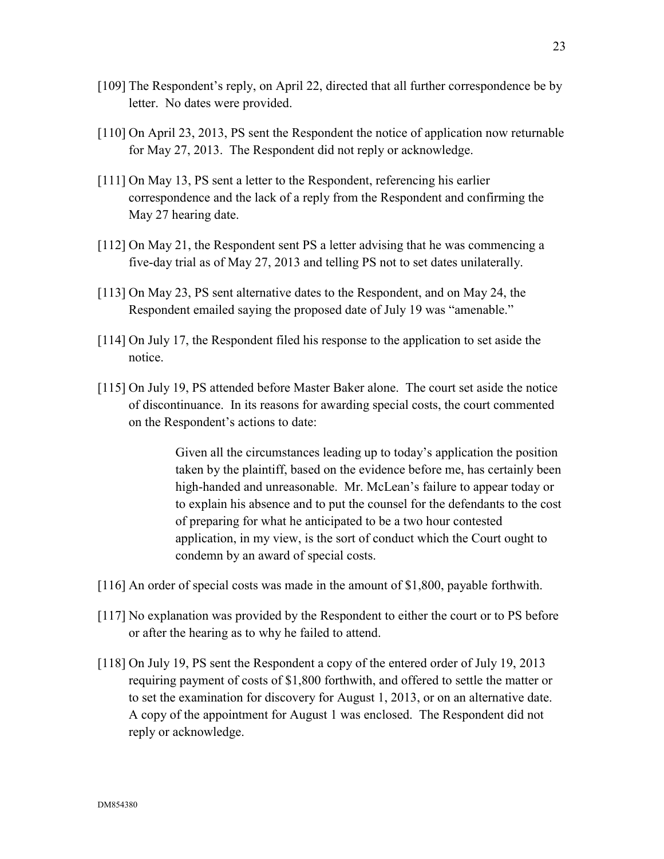- [109] The Respondent's reply, on April 22, directed that all further correspondence be by letter. No dates were provided.
- [110] On April 23, 2013, PS sent the Respondent the notice of application now returnable for May 27, 2013. The Respondent did not reply or acknowledge.
- [111] On May 13, PS sent a letter to the Respondent, referencing his earlier correspondence and the lack of a reply from the Respondent and confirming the May 27 hearing date.
- [112] On May 21, the Respondent sent PS a letter advising that he was commencing a five-day trial as of May 27, 2013 and telling PS not to set dates unilaterally.
- [113] On May 23, PS sent alternative dates to the Respondent, and on May 24, the Respondent emailed saying the proposed date of July 19 was "amenable."
- [114] On July 17, the Respondent filed his response to the application to set aside the notice.
- [115] On July 19, PS attended before Master Baker alone. The court set aside the notice of discontinuance. In its reasons for awarding special costs, the court commented on the Respondent's actions to date:

Given all the circumstances leading up to today's application the position taken by the plaintiff, based on the evidence before me, has certainly been high-handed and unreasonable. Mr. McLean's failure to appear today or to explain his absence and to put the counsel for the defendants to the cost of preparing for what he anticipated to be a two hour contested application, in my view, is the sort of conduct which the Court ought to condemn by an award of special costs.

- [116] An order of special costs was made in the amount of \$1,800, payable forthwith.
- [117] No explanation was provided by the Respondent to either the court or to PS before or after the hearing as to why he failed to attend.
- [118] On July 19, PS sent the Respondent a copy of the entered order of July 19, 2013 requiring payment of costs of \$1,800 forthwith, and offered to settle the matter or to set the examination for discovery for August 1, 2013, or on an alternative date. A copy of the appointment for August 1 was enclosed. The Respondent did not reply or acknowledge.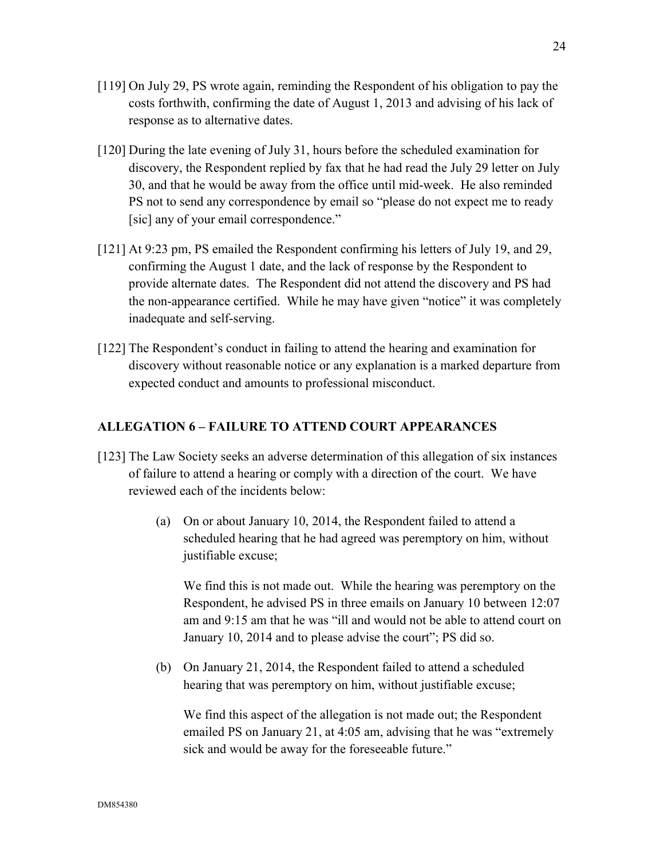- [119] On July 29, PS wrote again, reminding the Respondent of his obligation to pay the costs forthwith, confirming the date of August 1, 2013 and advising of his lack of response as to alternative dates.
- [120] During the late evening of July 31, hours before the scheduled examination for discovery, the Respondent replied by fax that he had read the July 29 letter on July 30, and that he would be away from the office until mid-week. He also reminded PS not to send any correspondence by email so "please do not expect me to ready [sic] any of your email correspondence."
- [121] At 9:23 pm, PS emailed the Respondent confirming his letters of July 19, and 29, confirming the August 1 date, and the lack of response by the Respondent to provide alternate dates. The Respondent did not attend the discovery and PS had the non-appearance certified. While he may have given "notice" it was completely inadequate and self-serving.
- [122] The Respondent's conduct in failing to attend the hearing and examination for discovery without reasonable notice or any explanation is a marked departure from expected conduct and amounts to professional misconduct.

## **ALLEGATION 6 – FAILURE TO ATTEND COURT APPEARANCES**

- [123] The Law Society seeks an adverse determination of this allegation of six instances of failure to attend a hearing or comply with a direction of the court. We have reviewed each of the incidents below:
	- (a) On or about January 10, 2014, the Respondent failed to attend a scheduled hearing that he had agreed was peremptory on him, without justifiable excuse;

We find this is not made out. While the hearing was peremptory on the Respondent, he advised PS in three emails on January 10 between 12:07 am and 9:15 am that he was "ill and would not be able to attend court on January 10, 2014 and to please advise the court"; PS did so.

(b) On January 21, 2014, the Respondent failed to attend a scheduled hearing that was peremptory on him, without justifiable excuse;

We find this aspect of the allegation is not made out; the Respondent emailed PS on January 21, at 4:05 am, advising that he was "extremely sick and would be away for the foreseeable future."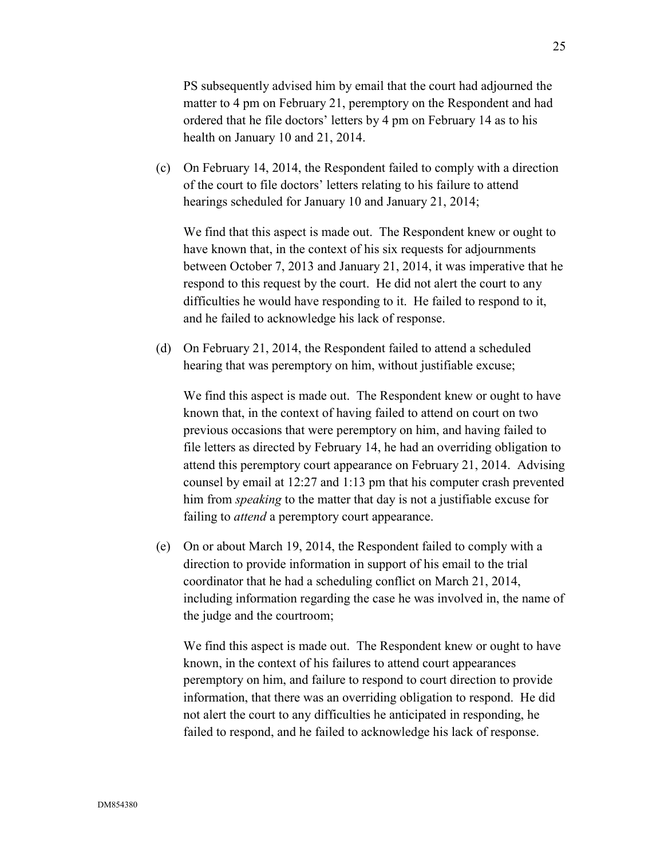PS subsequently advised him by email that the court had adjourned the matter to 4 pm on February 21, peremptory on the Respondent and had ordered that he file doctors' letters by 4 pm on February 14 as to his health on January 10 and 21, 2014.

(c) On February 14, 2014, the Respondent failed to comply with a direction of the court to file doctors' letters relating to his failure to attend hearings scheduled for January 10 and January 21, 2014;

We find that this aspect is made out. The Respondent knew or ought to have known that, in the context of his six requests for adjournments between October 7, 2013 and January 21, 2014, it was imperative that he respond to this request by the court. He did not alert the court to any difficulties he would have responding to it. He failed to respond to it, and he failed to acknowledge his lack of response.

(d) On February 21, 2014, the Respondent failed to attend a scheduled hearing that was peremptory on him, without justifiable excuse;

We find this aspect is made out. The Respondent knew or ought to have known that, in the context of having failed to attend on court on two previous occasions that were peremptory on him, and having failed to file letters as directed by February 14, he had an overriding obligation to attend this peremptory court appearance on February 21, 2014. Advising counsel by email at 12:27 and 1:13 pm that his computer crash prevented him from *speaking* to the matter that day is not a justifiable excuse for failing to *attend* a peremptory court appearance.

(e) On or about March 19, 2014, the Respondent failed to comply with a direction to provide information in support of his email to the trial coordinator that he had a scheduling conflict on March 21, 2014, including information regarding the case he was involved in, the name of the judge and the courtroom;

We find this aspect is made out. The Respondent knew or ought to have known, in the context of his failures to attend court appearances peremptory on him, and failure to respond to court direction to provide information, that there was an overriding obligation to respond. He did not alert the court to any difficulties he anticipated in responding, he failed to respond, and he failed to acknowledge his lack of response.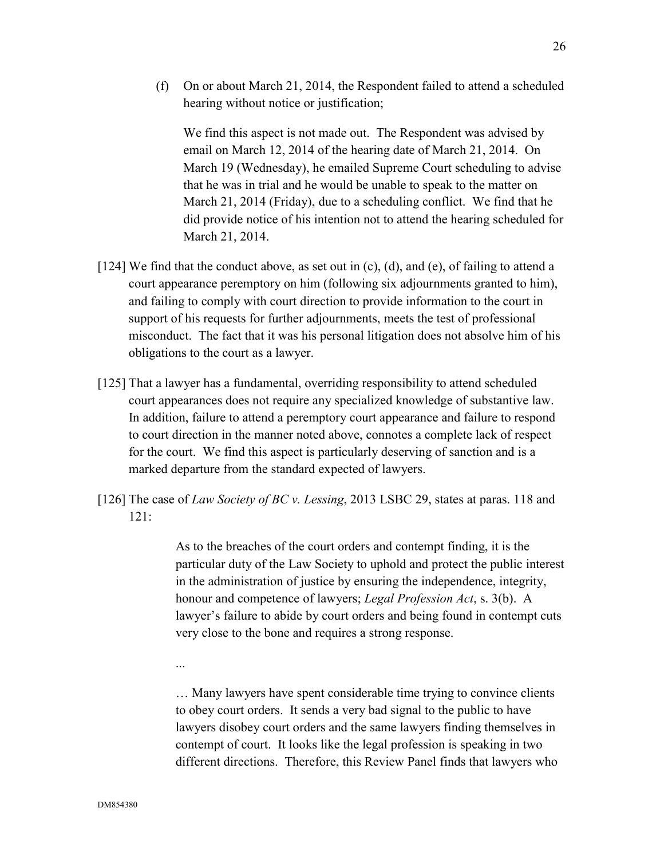(f) On or about March 21, 2014, the Respondent failed to attend a scheduled hearing without notice or justification;

We find this aspect is not made out. The Respondent was advised by email on March 12, 2014 of the hearing date of March 21, 2014. On March 19 (Wednesday), he emailed Supreme Court scheduling to advise that he was in trial and he would be unable to speak to the matter on March 21, 2014 (Friday), due to a scheduling conflict. We find that he did provide notice of his intention not to attend the hearing scheduled for March 21, 2014.

- [124] We find that the conduct above, as set out in  $(c)$ ,  $(d)$ , and  $(e)$ , of failing to attend a court appearance peremptory on him (following six adjournments granted to him), and failing to comply with court direction to provide information to the court in support of his requests for further adjournments, meets the test of professional misconduct. The fact that it was his personal litigation does not absolve him of his obligations to the court as a lawyer.
- [125] That a lawyer has a fundamental, overriding responsibility to attend scheduled court appearances does not require any specialized knowledge of substantive law. In addition, failure to attend a peremptory court appearance and failure to respond to court direction in the manner noted above, connotes a complete lack of respect for the court. We find this aspect is particularly deserving of sanction and is a marked departure from the standard expected of lawyers.
- [126] The case of *Law Society of BC v. Lessing*, 2013 LSBC 29, states at paras. 118 and  $121$

As to the breaches of the court orders and contempt finding, it is the particular duty of the Law Society to uphold and protect the public interest in the administration of justice by ensuring the independence, integrity, honour and competence of lawyers; *Legal Profession Act*, s. 3(b). A lawyer's failure to abide by court orders and being found in contempt cuts very close to the bone and requires a strong response.

...

… Many lawyers have spent considerable time trying to convince clients to obey court orders. It sends a very bad signal to the public to have lawyers disobey court orders and the same lawyers finding themselves in contempt of court. It looks like the legal profession is speaking in two different directions. Therefore, this Review Panel finds that lawyers who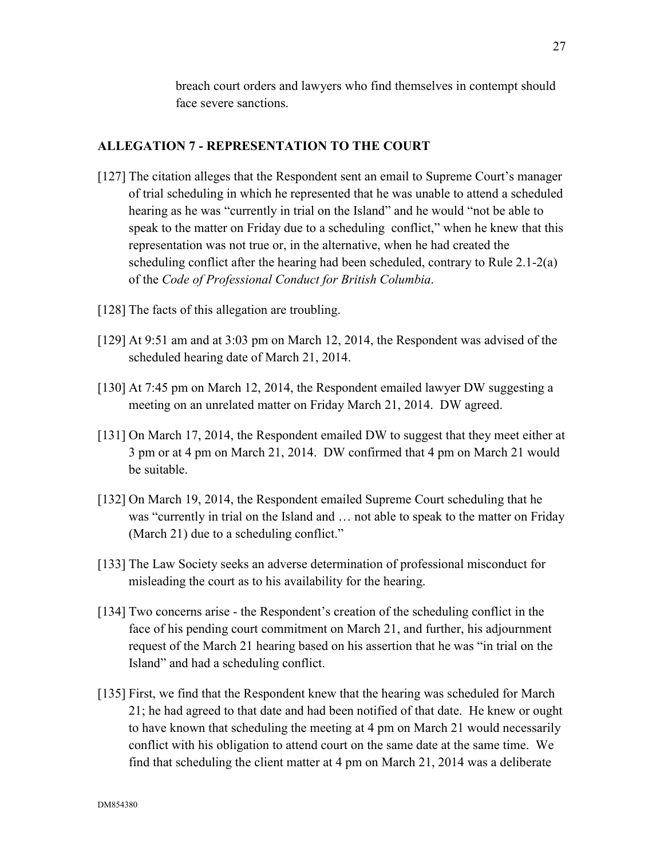breach court orders and lawyers who find themselves in contempt should face severe sanctions.

## **ALLEGATION 7 - REPRESENTATION TO THE COURT**

- [127] The citation alleges that the Respondent sent an email to Supreme Court's manager of trial scheduling in which he represented that he was unable to attend a scheduled hearing as he was "currently in trial on the Island" and he would "not be able to speak to the matter on Friday due to a scheduling conflict," when he knew that this representation was not true or, in the alternative, when he had created the scheduling conflict after the hearing had been scheduled, contrary to Rule 2.1-2(a) of the *Code of Professional Conduct for British Columbia*.
- [128] The facts of this allegation are troubling.
- [129] At 9:51 am and at 3:03 pm on March 12, 2014, the Respondent was advised of the scheduled hearing date of March 21, 2014.
- [130] At 7:45 pm on March 12, 2014, the Respondent emailed lawyer DW suggesting a meeting on an unrelated matter on Friday March 21, 2014. DW agreed.
- [131] On March 17, 2014, the Respondent emailed DW to suggest that they meet either at 3 pm or at 4 pm on March 21, 2014. DW confirmed that 4 pm on March 21 would be suitable.
- [132] On March 19, 2014, the Respondent emailed Supreme Court scheduling that he was "currently in trial on the Island and … not able to speak to the matter on Friday (March 21) due to a scheduling conflict."
- [133] The Law Society seeks an adverse determination of professional misconduct for misleading the court as to his availability for the hearing.
- [134] Two concerns arise the Respondent's creation of the scheduling conflict in the face of his pending court commitment on March 21, and further, his adjournment request of the March 21 hearing based on his assertion that he was "in trial on the Island" and had a scheduling conflict.
- [135] First, we find that the Respondent knew that the hearing was scheduled for March 21; he had agreed to that date and had been notified of that date. He knew or ought to have known that scheduling the meeting at 4 pm on March 21 would necessarily conflict with his obligation to attend court on the same date at the same time. We find that scheduling the client matter at 4 pm on March 21, 2014 was a deliberate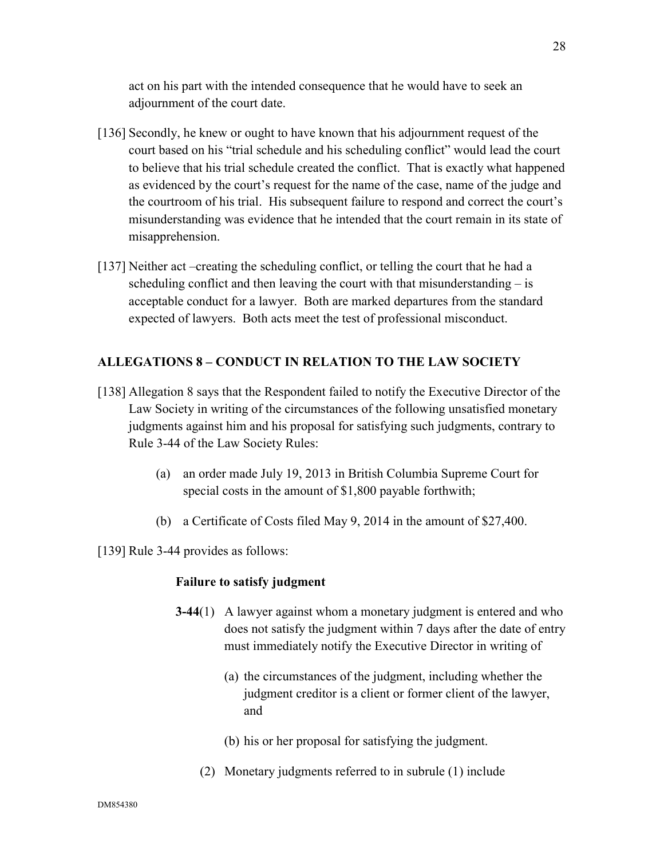act on his part with the intended consequence that he would have to seek an adjournment of the court date.

- [136] Secondly, he knew or ought to have known that his adjournment request of the court based on his "trial schedule and his scheduling conflict" would lead the court to believe that his trial schedule created the conflict. That is exactly what happened as evidenced by the court's request for the name of the case, name of the judge and the courtroom of his trial. His subsequent failure to respond and correct the court's misunderstanding was evidence that he intended that the court remain in its state of misapprehension.
- [137] Neither act –creating the scheduling conflict, or telling the court that he had a scheduling conflict and then leaving the court with that misunderstanding – is acceptable conduct for a lawyer. Both are marked departures from the standard expected of lawyers. Both acts meet the test of professional misconduct.

## **ALLEGATIONS 8 – CONDUCT IN RELATION TO THE LAW SOCIETY**

- [138] Allegation 8 says that the Respondent failed to notify the Executive Director of the Law Society in writing of the circumstances of the following unsatisfied monetary judgments against him and his proposal for satisfying such judgments, contrary to Rule 3-44 of the Law Society Rules:
	- (a) an order made July 19, 2013 in British Columbia Supreme Court for special costs in the amount of \$1,800 payable forthwith;
	- (b) a Certificate of Costs filed May 9, 2014 in the amount of \$27,400.

[139] Rule 3-44 provides as follows:

#### **Failure to satisfy judgment**

- **3-44**(1) A lawyer against whom a monetary judgment is entered and who does not satisfy the judgment within 7 days after the date of entry must immediately notify the Executive Director in writing of
	- (a) the circumstances of the judgment, including whether the judgment creditor is a client or former client of the lawyer, and
	- (b) his or her proposal for satisfying the judgment.
	- (2) Monetary judgments referred to in subrule (1) include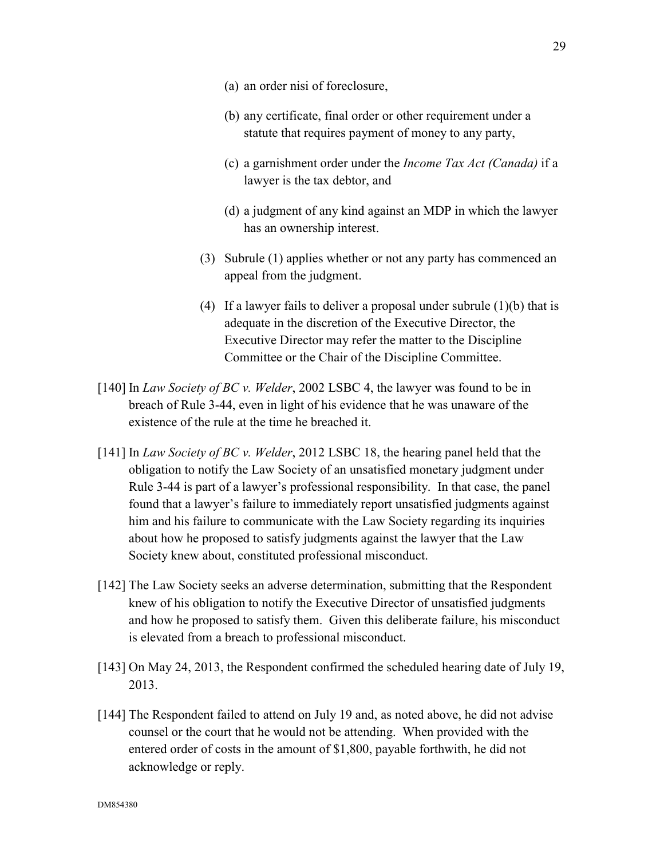- (a) an order nisi of foreclosure,
- (b) any certificate, final order or other requirement under a statute that requires payment of money to any party,
- (c) a garnishment order under the *Income Tax Act (Canada)* if a lawyer is the tax debtor, and
- (d) a judgment of any kind against an MDP in which the lawyer has an ownership interest.
- (3) Subrule (1) applies whether or not any party has commenced an appeal from the judgment.
- (4) If a lawyer fails to deliver a proposal under subrule  $(1)(b)$  that is adequate in the discretion of the Executive Director, the Executive Director may refer the matter to the Discipline Committee or the Chair of the Discipline Committee.
- [140] In *Law Society of BC v. Welder*, 2002 LSBC 4, the lawyer was found to be in breach of Rule 3-44, even in light of his evidence that he was unaware of the existence of the rule at the time he breached it.
- [141] In *Law Society of BC v. Welder*, 2012 LSBC 18, the hearing panel held that the obligation to notify the Law Society of an unsatisfied monetary judgment under Rule 3-44 is part of a lawyer's professional responsibility. In that case, the panel found that a lawyer's failure to immediately report unsatisfied judgments against him and his failure to communicate with the Law Society regarding its inquiries about how he proposed to satisfy judgments against the lawyer that the Law Society knew about, constituted professional misconduct.
- [142] The Law Society seeks an adverse determination, submitting that the Respondent knew of his obligation to notify the Executive Director of unsatisfied judgments and how he proposed to satisfy them. Given this deliberate failure, his misconduct is elevated from a breach to professional misconduct.
- [143] On May 24, 2013, the Respondent confirmed the scheduled hearing date of July 19, 2013.
- [144] The Respondent failed to attend on July 19 and, as noted above, he did not advise counsel or the court that he would not be attending. When provided with the entered order of costs in the amount of \$1,800, payable forthwith, he did not acknowledge or reply.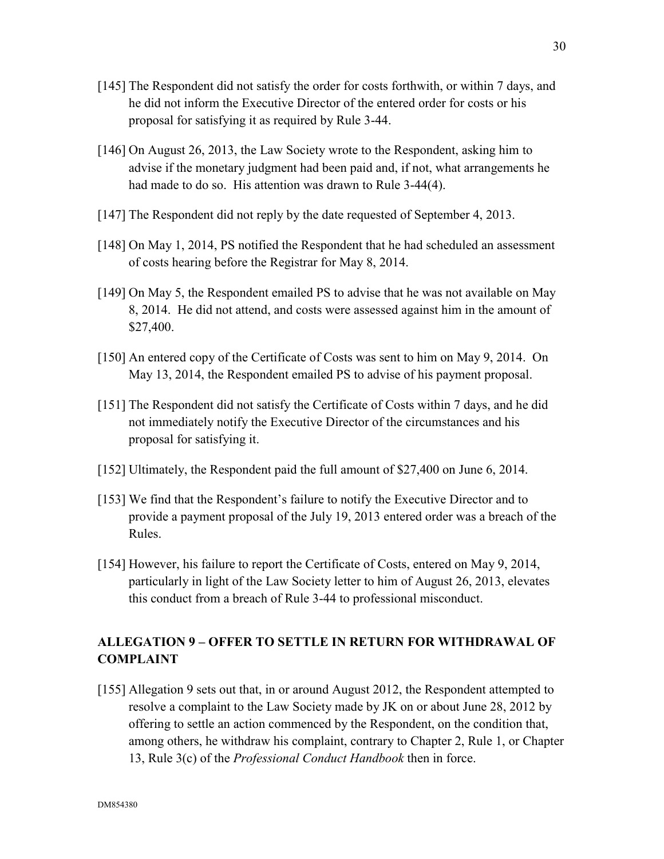- [145] The Respondent did not satisfy the order for costs forthwith, or within 7 days, and he did not inform the Executive Director of the entered order for costs or his proposal for satisfying it as required by Rule 3-44.
- [146] On August 26, 2013, the Law Society wrote to the Respondent, asking him to advise if the monetary judgment had been paid and, if not, what arrangements he had made to do so. His attention was drawn to Rule 3-44(4).
- [147] The Respondent did not reply by the date requested of September 4, 2013.
- [148] On May 1, 2014, PS notified the Respondent that he had scheduled an assessment of costs hearing before the Registrar for May 8, 2014.
- [149] On May 5, the Respondent emailed PS to advise that he was not available on May 8, 2014. He did not attend, and costs were assessed against him in the amount of \$27,400.
- [150] An entered copy of the Certificate of Costs was sent to him on May 9, 2014. On May 13, 2014, the Respondent emailed PS to advise of his payment proposal.
- [151] The Respondent did not satisfy the Certificate of Costs within 7 days, and he did not immediately notify the Executive Director of the circumstances and his proposal for satisfying it.
- [152] Ultimately, the Respondent paid the full amount of \$27,400 on June 6, 2014.
- [153] We find that the Respondent's failure to notify the Executive Director and to provide a payment proposal of the July 19, 2013 entered order was a breach of the Rules.
- [154] However, his failure to report the Certificate of Costs, entered on May 9, 2014, particularly in light of the Law Society letter to him of August 26, 2013, elevates this conduct from a breach of Rule 3-44 to professional misconduct.

## **ALLEGATION 9 – OFFER TO SETTLE IN RETURN FOR WITHDRAWAL OF COMPLAINT**

[155] Allegation 9 sets out that, in or around August 2012, the Respondent attempted to resolve a complaint to the Law Society made by JK on or about June 28, 2012 by offering to settle an action commenced by the Respondent, on the condition that, among others, he withdraw his complaint, contrary to Chapter 2, Rule 1, or Chapter 13, Rule 3(c) of the *Professional Conduct Handbook* then in force.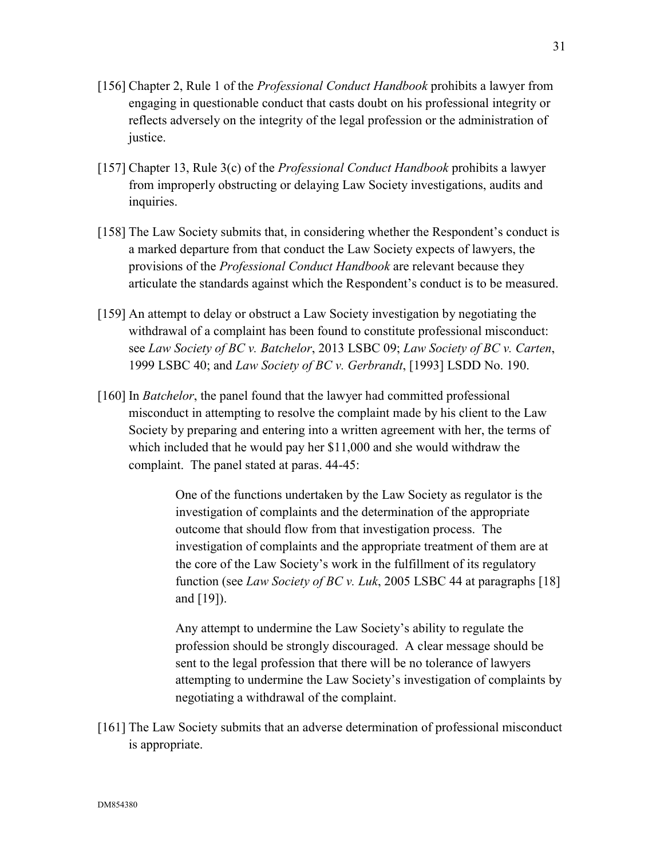- [156] Chapter 2, Rule 1 of the *Professional Conduct Handbook* prohibits a lawyer from engaging in questionable conduct that casts doubt on his professional integrity or reflects adversely on the integrity of the legal profession or the administration of justice.
- [157] Chapter 13, Rule 3(c) of the *Professional Conduct Handbook* prohibits a lawyer from improperly obstructing or delaying Law Society investigations, audits and inquiries.
- [158] The Law Society submits that, in considering whether the Respondent's conduct is a marked departure from that conduct the Law Society expects of lawyers, the provisions of the *Professional Conduct Handbook* are relevant because they articulate the standards against which the Respondent's conduct is to be measured.
- [159] An attempt to delay or obstruct a Law Society investigation by negotiating the withdrawal of a complaint has been found to constitute professional misconduct: see *Law Society of BC v. Batchelor*, 2013 LSBC 09; *Law Society of BC v. Carten*, 1999 LSBC 40; and *Law Society of BC v. Gerbrandt*, [1993] LSDD No. 190.
- [160] In *Batchelor*, the panel found that the lawyer had committed professional misconduct in attempting to resolve the complaint made by his client to the Law Society by preparing and entering into a written agreement with her, the terms of which included that he would pay her \$11,000 and she would withdraw the complaint. The panel stated at paras. 44-45:

 One of the functions undertaken by the Law Society as regulator is the investigation of complaints and the determination of the appropriate outcome that should flow from that investigation process. The investigation of complaints and the appropriate treatment of them are at the core of the Law Society's work in the fulfillment of its regulatory function (see *Law Society of BC v. Luk*, 2005 LSBC 44 at paragraphs [18] and [19]).

 Any attempt to undermine the Law Society's ability to regulate the profession should be strongly discouraged. A clear message should be sent to the legal profession that there will be no tolerance of lawyers attempting to undermine the Law Society's investigation of complaints by negotiating a withdrawal of the complaint.

[161] The Law Society submits that an adverse determination of professional misconduct is appropriate.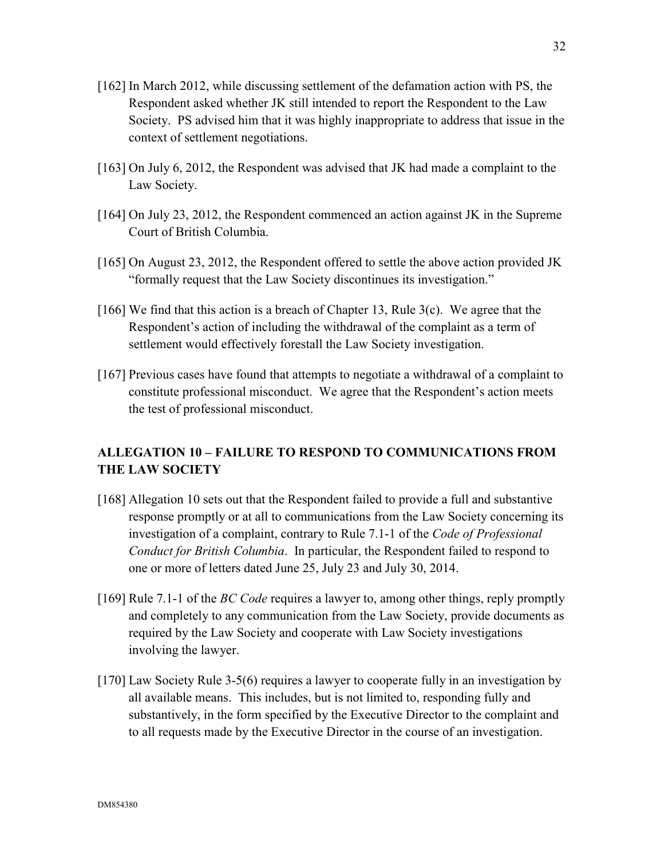- [162] In March 2012, while discussing settlement of the defamation action with PS, the Respondent asked whether JK still intended to report the Respondent to the Law Society. PS advised him that it was highly inappropriate to address that issue in the context of settlement negotiations.
- [163] On July 6, 2012, the Respondent was advised that JK had made a complaint to the Law Society.
- [164] On July 23, 2012, the Respondent commenced an action against JK in the Supreme Court of British Columbia.
- [165] On August 23, 2012, the Respondent offered to settle the above action provided JK "formally request that the Law Society discontinues its investigation."
- [166] We find that this action is a breach of Chapter 13, Rule 3(c). We agree that the Respondent's action of including the withdrawal of the complaint as a term of settlement would effectively forestall the Law Society investigation.
- [167] Previous cases have found that attempts to negotiate a withdrawal of a complaint to constitute professional misconduct. We agree that the Respondent's action meets the test of professional misconduct.

# **ALLEGATION 10 – FAILURE TO RESPOND TO COMMUNICATIONS FROM THE LAW SOCIETY**

- [168] Allegation 10 sets out that the Respondent failed to provide a full and substantive response promptly or at all to communications from the Law Society concerning its investigation of a complaint, contrary to Rule 7.1-1 of the *Code of Professional Conduct for British Columbia*. In particular, the Respondent failed to respond to one or more of letters dated June 25, July 23 and July 30, 2014.
- [169] Rule 7.1-1 of the *BC Code* requires a lawyer to, among other things, reply promptly and completely to any communication from the Law Society, provide documents as required by the Law Society and cooperate with Law Society investigations involving the lawyer.
- [170] Law Society Rule 3-5(6) requires a lawyer to cooperate fully in an investigation by all available means. This includes, but is not limited to, responding fully and substantively, in the form specified by the Executive Director to the complaint and to all requests made by the Executive Director in the course of an investigation.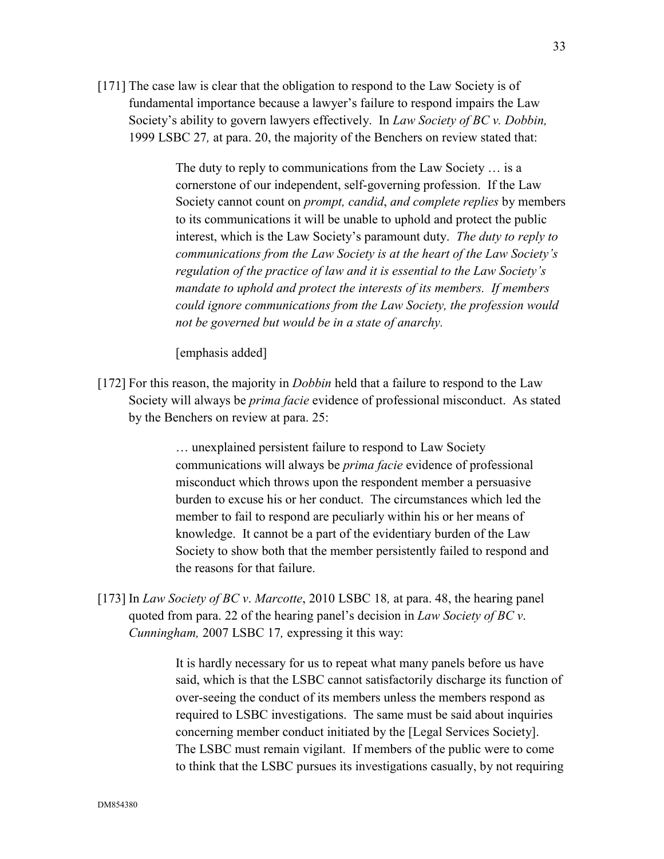[171] The case law is clear that the obligation to respond to the Law Society is of fundamental importance because a lawyer's failure to respond impairs the Law Society's ability to govern lawyers effectively. In *Law Society of BC v. Dobbin,*  1999 LSBC 27*,* at para. 20, the majority of the Benchers on review stated that:

> The duty to reply to communications from the Law Society … is a cornerstone of our independent, self-governing profession. If the Law Society cannot count on *prompt, candid*, *and complete replies* by members to its communications it will be unable to uphold and protect the public interest, which is the Law Society's paramount duty. *The duty to reply to communications from the Law Society is at the heart of the Law Society's regulation of the practice of law and it is essential to the Law Society's mandate to uphold and protect the interests of its members. If members could ignore communications from the Law Society, the profession would not be governed but would be in a state of anarchy.*

[emphasis added]

[172] For this reason, the majority in *Dobbin* held that a failure to respond to the Law Society will always be *prima facie* evidence of professional misconduct. As stated by the Benchers on review at para. 25:

> … unexplained persistent failure to respond to Law Society communications will always be *prima facie* evidence of professional misconduct which throws upon the respondent member a persuasive burden to excuse his or her conduct. The circumstances which led the member to fail to respond are peculiarly within his or her means of knowledge. It cannot be a part of the evidentiary burden of the Law Society to show both that the member persistently failed to respond and the reasons for that failure.

[173] In *Law Society of BC v*. *Marcotte*, 2010 LSBC 18*,* at para. 48, the hearing panel quoted from para. 22 of the hearing panel's decision in *Law Society of BC v*. *Cunningham,* 2007 LSBC 17*,* expressing it this way:

> It is hardly necessary for us to repeat what many panels before us have said, which is that the LSBC cannot satisfactorily discharge its function of over-seeing the conduct of its members unless the members respond as required to LSBC investigations. The same must be said about inquiries concerning member conduct initiated by the [Legal Services Society]. The LSBC must remain vigilant. If members of the public were to come to think that the LSBC pursues its investigations casually, by not requiring